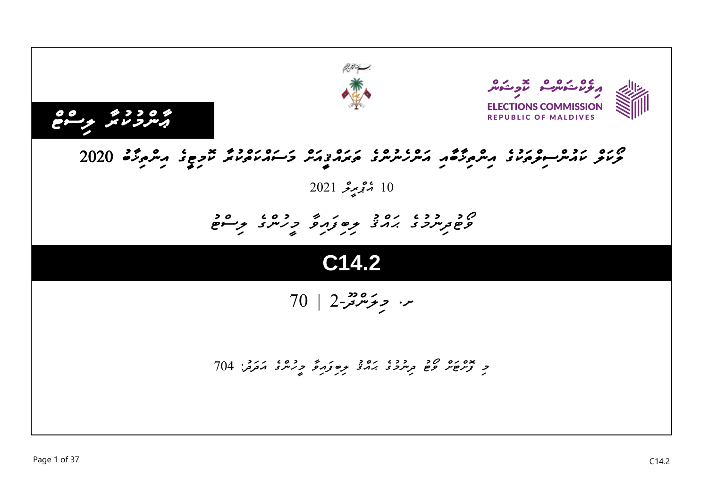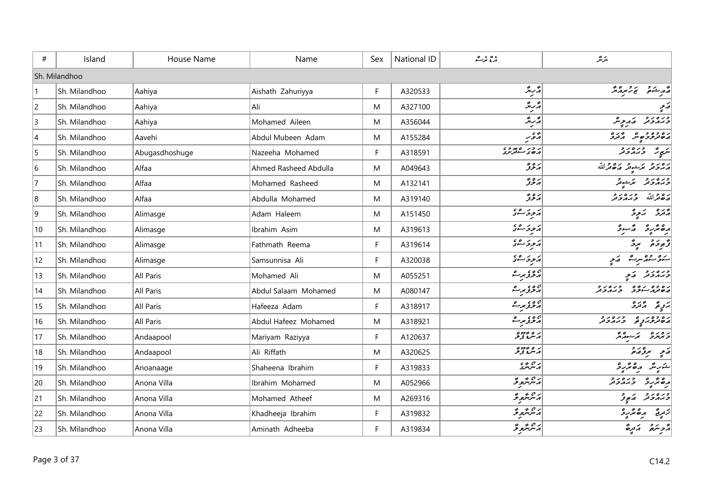| #              | Island        | House Name     | Name                  | Sex       | National ID | ، ه ، ره<br>مربح بمرت          | يترمثر                              |
|----------------|---------------|----------------|-----------------------|-----------|-------------|--------------------------------|-------------------------------------|
|                | Sh. Milandhoo |                |                       |           |             |                                |                                     |
|                | Sh. Milandhoo | Aahiya         | Aishath Zahuriyya     | F         | A320533     | ا پر به پر<br>ا                | ARANG 31 14                         |
| $\overline{c}$ | Sh. Milandhoo | Aahiya         | Ali                   | M         | A327100     | ومحرمر                         | اړمو                                |
| $\overline{3}$ | Sh. Milandhoo | Aahiya         | Mohamed Aileen        | M         | A356044     | ومحرمر                         | ورەر ئەرىپ                          |
| $\overline{4}$ | Sh. Milandhoo | Aavehi         | Abdul Mubeen Adam     | M         | A155284     | پژځو سر                        | ره وه و مدره<br>مصر ود و مدرد       |
| 5              | Sh. Milandhoo | Abugasdhoshuge | Nazeeha Mohamed       | F         | A318591     | ر و ر ۔ ه پو و ،<br>پرې کامورس | سَيِّ ورورو                         |
| $\sqrt{6}$     | Sh. Milandhoo | Alfaa          | Ahmed Rasheed Abdulla | M         | A049643     | پرویژ                          | أبروبرد بمنصوص وكاله الله           |
| $\overline{7}$ | Sh. Milandhoo | Alfaa          | Mohamed Rasheed       | ${\sf M}$ | A132141     | برویژ                          | وره رو کرشونگر<br>د بر برگونگر      |
| 8              | Sh. Milandhoo | Alfaa          | Abdulla Mohamed       | ${\sf M}$ | A319140     | ره و                           | رە دالله درەرد                      |
| 9              | Sh. Milandhoo | Alimasge       | Adam Haleem           | M         | A151450     | لأعرفه سفو                     | أرمزو بروو                          |
| 10             | Sh. Milandhoo | Alimasge       | Ibrahim Asim          | M         | A319613     | لأمرخ سفو                      | $5 - 2 - 5 - 5 = 0$                 |
| 11             | Sh. Milandhoo | Alimasge       | Fathmath Reema        | F         | A319614     | لأموحز سفوته                   | وموجود مردمي                        |
| 12             | Sh. Milandhoo | Alimasge       | Samsunnisa Ali        | F         | A320038     | أتمرخ سفرة                     |                                     |
| 13             | Sh. Milandhoo | All Paris      | Mohamed Ali           | ${\sf M}$ | A055251     | پرو <sub>ؤ مر</sub> عه         | ورەرو كې                            |
| 14             | Sh. Milandhoo | All Paris      | Abdul Salaam Mohamed  | ${\sf M}$ | A080147     | ئۇ قۇ ئىرىشە                   | ره وه مرده وره رو<br>دره درگر درگرد |
| 15             | Sh. Milandhoo | All Paris      | Hafeeza Adam          | F         | A318917     | ئۇغ <sub>ۇ ئىر</sub> م         | پَرۡ وِ یَمۡ الۡ وَ یَمۡ وَ         |
| 16             | Sh. Milandhoo | All Paris      | Abdul Hafeez Mohamed  | M         | A318921     | ئۇ قۇمېرىشە                    | رەدورى درەرد                        |
| 17             | Sh. Milandhoo | Andaapool      | Mariyam Raziyya       | F         | A120637     | بر ۵ په دوه<br>مرس بومړ        | במתכ מייחות                         |
| 18             | Sh. Milandhoo | Andaapool      | Ali Riffath           | M         | A320625     | بر ۵ ۶۶۶<br>[رس بورم           | ړې بروړه.                           |
| 19             | Sh. Milandhoo | Anoanaage      | Shaheena Ibrahim      | F         | A319833     | ر a a<br>مرس                   | شربتر مرەممىيە                      |
| 20             | Sh. Milandhoo | Anona Villa    | Ibrahim Mohamed       | M         | A052966     | أرجم يتنعر قحه                 | وە ئەرد<br>و ره ر و<br>تر پر ژنر    |
| 21             | Sh. Milandhoo | Anona Villa    | Mohamed Atheef        | M         | A269316     | ەشرىئىرۇ                       | כנסנכ גבל                           |
| 22             | Sh. Milandhoo | Anona Villa    | Khadheeja Ibrahim     | F.        | A319832     | أرجية فجرقه                    | زَمِرِيَّ مِنْ مُرَّرِدْ            |
| 23             | Sh. Milandhoo | Anona Villa    | Aminath Adheeba       | F         | A319834     | أرتكه تنعرقه                   | أأروسكم أراديث                      |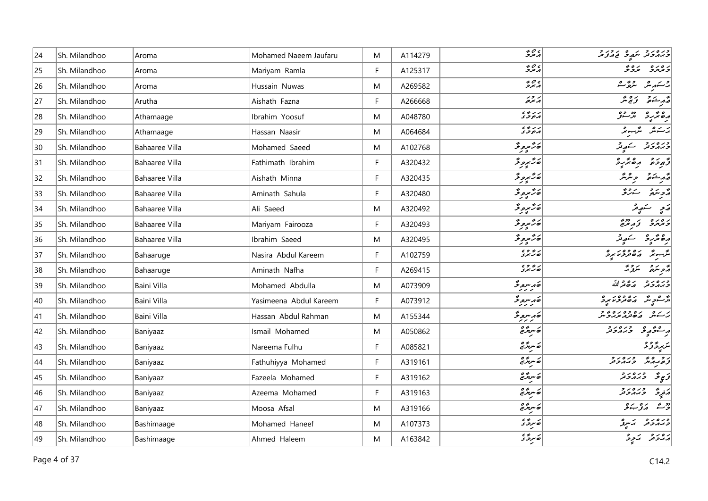| 24 | Sh. Milandhoo | Aroma                 | Mohamed Naeem Jaufaru  | M           | A114279 | ى مى بە<br>مەمىرى                 | ورەرو برە ئەدرو                                        |
|----|---------------|-----------------------|------------------------|-------------|---------|-----------------------------------|--------------------------------------------------------|
| 25 | Sh. Milandhoo | Aroma                 | Mariyam Ramla          | F           | A125317 | ی می بر<br>پر بوری                | رەرە رەپر                                              |
| 26 | Sh. Milandhoo | Aroma                 | Hussain Nuwas          | M           | A269582 | ے جو بر<br>مربور                  | جەسىر شەھ سرچە شە                                      |
| 27 | Sh. Milandhoo | Arutha                | Aishath Fazna          | F           | A266668 | ر ور<br>مرسم                      | ومرشكم وكالمر                                          |
| 28 | Sh. Milandhoo | Athamaage             | Ibrahim Yoosuf         | M           | A048780 | ر ر د »<br>د ه <del>ر</del> ر     | دەندىرە بوروە                                          |
| 29 | Sh. Milandhoo | Athamaage             | Hassan Naasir          | M           | A064684 | ر ر د »<br>پره د د                | ىر سىر ئىش ئىر                                         |
| 30 | Sh. Milandhoo | <b>Bahaaree Villa</b> | Mohamed Saeed          | M           | A102768 | ە ئەبرە ۋ<br>مۇم                  | ورەرو سەرو                                             |
| 31 | Sh. Milandhoo | <b>Bahaaree Villa</b> | Fathimath Ibrahim      | F           | A320432 | ە ئەبرە ۋ<br>ئ                    |                                                        |
| 32 | Sh. Milandhoo | <b>Bahaaree Villa</b> | Aishath Minna          | F           | A320435 | ە ئەبىرە ۋ                        | فمرشك وعرمتى                                           |
| 33 | Sh. Milandhoo | <b>Bahaaree Villa</b> | Aminath Sahula         | $\mathsf F$ | A320480 | ە ئەبرە ۋ                         | أأرمز المراديح                                         |
| 34 | Sh. Milandhoo | <b>Bahaaree Villa</b> | Ali Saeed              | M           | A320492 | لەر<br>سىرىمىتىسىسىسى             | أەسمج سىكە يەتىر                                       |
| 35 | Sh. Milandhoo | <b>Bahaaree Villa</b> | Mariyam Fairooza       | F           | A320493 | ە ئەبرە ۋ<br>مەسمىر               | ر ه ر ه<br>و بربرو<br>تر در در بر<br>تر در بر <i>س</i> |
| 36 | Sh. Milandhoo | <b>Bahaaree Villa</b> | Ibrahim Saeed          | M           | A320495 | ۇ ئەبىرە ق                        | رە ئرىر ئىستىر                                         |
| 37 | Sh. Milandhoo | Bahaaruge             | Nasira Abdul Kareem    | $\mathsf F$ | A102759 | ر و د د<br>ن <i>ن نر</i> و        | د د ده دور و<br>شهر ده دور د                           |
| 38 | Sh. Milandhoo | Bahaaruge             | Aminath Nafha          | F           | A269415 | ر بر و ،<br>ن <i>ن</i> مرد        | أأروسكم أسماره                                         |
| 39 | Sh. Milandhoo | Baini Villa           | Mohamed Abdulla        | M           | A073909 | لەر سرە ئ <sup>ۇ</sup><br>سىر سرە | وره رو ده دالله                                        |
| 40 | Sh. Milandhoo | Baini Villa           | Yasimeena Abdul Kareem | F           | A073912 | لەر سرە ئ <sup>ۇ</sup>            | و صحيح من المعروم مرد                                  |
| 41 | Sh. Milandhoo | Baini Villa           | Hassan Abdul Rahman    | M           | A155344 |                                   | ر ره ده ده ده ده د                                     |
| 42 | Sh. Milandhoo | Baniyaaz              | Ismail Mohamed         | M           | A050862 | ەسىرى                             | ر عۇرپۇ دىرەرد                                         |
| 43 | Sh. Milandhoo | Baniyaaz              | Nareema Fulhu          | F           | A085821 | ے سرمزی<br>                       | ىئە پرۇزى<br>س                                         |
| 44 | Sh. Milandhoo | Baniyaaz              | Fathuhiyya Mohamed     | F.          | A319161 | كالمسروج                          | ני פי בנסני                                            |
| 45 | Sh. Milandhoo | Baniyaaz              | Fazeela Mohamed        | $\mathsf F$ | A319162 | ە سرىرى                           | ترىپ ئىق دىمەد تە                                      |
| 46 | Sh. Milandhoo | Baniyaaz              | Azeema Mohamed         | F           | A319163 | ەسرىرى                            | أرَ فَرِدٌ حَ يَدْمُ حَ يَدْ                           |
| 47 | Sh. Milandhoo | Baniyaaz              | Moosa Afsal            | M           | A319166 | $rac{1}{2}$                       | لايم برە برو                                           |
| 48 | Sh. Milandhoo | Bashimaage            | Mohamed Haneef         | M           | A107373 | ر په ه<br>په مرد د                | ورەرو بەيدۇ                                            |
| 49 | Sh. Milandhoo | Bashimaage            | Ahmed Haleem           | M           | A163842 | ر<br>ت <i>ه م</i> رد د            | دەر د برېږ                                             |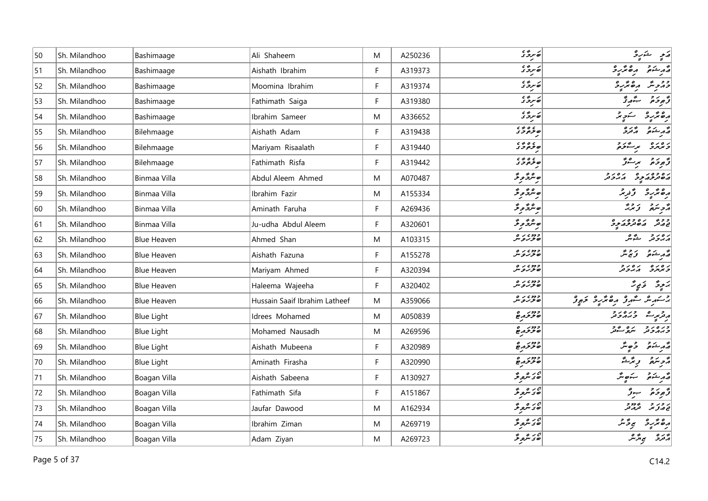| 50 | Sh. Milandhoo | Bashimaage         | Ali Shaheem                   | M  | A250236 | ر ده د<br>خرچ                            | ے مذکر 2<br>مق<br>رئمو                                       |
|----|---------------|--------------------|-------------------------------|----|---------|------------------------------------------|--------------------------------------------------------------|
| 51 | Sh. Milandhoo | Bashimaage         | Aishath Ibrahim               | F. | A319373 | ر<br>ئ <i>ە</i> ىرىرى                    | ر<br>دگرم شومی<br>ەھ تررۈ                                    |
| 52 | Sh. Milandhoo | Bashimaage         | Moomina Ibrahim               | F  | A319374 | ر<br>ت <i>ه م</i> رد د                   | ە ھەترىرى<br>برھ ترىرى<br>3 دېگر مگر                         |
| 53 | Sh. Milandhoo | Bashimaage         | Fathimath Saiga               | F. | A319380 | ر<br>خرچي                                | و په پر د<br>سِتَرەر تَح                                     |
| 54 | Sh. Milandhoo | Bashimaage         | Ibrahim Sameer                | M  | A336652 | ر ده د<br>خرچ                            | ە ئەمەر 2<br>مەھمەر 2<br>سكوبر                               |
| 55 | Sh. Milandhoo | Bilehmaage         | Aishath Adam                  | F  | A319438 | ه ده و د و<br>موخور د                    | و مر شوه<br>مرم شوه<br>پور ہ<br>مرکزو                        |
| 56 | Sh. Milandhoo | Bilehmaage         | Mariyam Risaalath             | F  | A319440 | ړه د د ،<br>ح نو د د                     | ر ه ر ه<br><del>د</del> بربرگر<br>ىرىشۇچ                     |
| 57 | Sh. Milandhoo | Bilehmaage         | Fathimath Risfa               | F  | A319442 | ړه د د ،<br>ح نو د د                     | ژوده برخرژ                                                   |
| 58 | Sh. Milandhoo | Binmaa Villa       | Abdul Aleem Ahmed             | M  | A070487 | ە ئىرگە ئوقر                             | ره وه ر<br>גەندىر پر د<br>ەرەر                               |
| 59 | Sh. Milandhoo | Binmaa Villa       | Ibrahim Fazir                 | M  | A155334 | ە ئىرگ <sup>ى</sup> رىگە                 | ىر ھەتتەر 2<br>ب<br>وگە فومتر                                |
| 60 | Sh. Milandhoo | Binmaa Villa       | Aminath Faruha                | F. | A269436 | ھ بىردۇ بەر                              | أأديتهم وتروم                                                |
| 61 | Sh. Milandhoo | Binmaa Villa       | Ju-udha Abdul Aleem           | F. | A320601 | لحو مرڈ و ڈ                              | و و و.<br>  فع <i>ه</i> فكر<br>ر ه و ه د ر ه<br>پره تر پر پر |
| 62 | Sh. Milandhoo | <b>Blue Heaven</b> | Ahmed Shan                    | M  | A103315 | و دو ، ر ه<br><i>ه مور</i> و مگر         | رەر ئەر                                                      |
| 63 | Sh. Milandhoo | <b>Blue Heaven</b> | Aishath Fazuna                | F  | A155278 | و دو پر رہ<br>ج <i>و پ</i> ر جر س        | ە ئەستىقى ئى ئى                                              |
| 64 | Sh. Milandhoo | <b>Blue Heaven</b> | Mariyam Ahmed                 | F  | A320394 | و دو پر رہ<br>ج <i>ا محر پی</i> مگر      | ر ه ر ه<br><del>ر</del> بربرو<br>پروژو                       |
| 65 | Sh. Milandhoo | <b>Blue Heaven</b> | Haleema Wajeeha               | F. | A320402 | و دو ، ر ه<br>ن <i>ن تر د</i> ر ش        | پَرۡ یِنَ ۡ ٰ وَیِیۡ نَ                                      |
| 66 | Sh. Milandhoo | <b>Blue Heaven</b> | Hussain Saaif Ibrahim Latheef | M  | A359066 | و دو پر رہ<br>ج <i>ا محر پی</i> مگر      | ير سكر شر شهر و معر دي از ديدار ا                            |
| 67 | Sh. Milandhoo | <b>Blue Light</b>  | Idrees Mohamed                | M  | A050839 | و دور ه<br><i>ه <del>و و</del> د</i> ر ه | و ر ه ر د<br>تر پر پر تر<br>ىر قرىبە <sup>م</sup>            |
| 68 | Sh. Milandhoo | <b>Blue Light</b>  | Mohamed Nausadh               | M  | A269596 | ەددىر ھ                                  | و ر ه ر د<br>تر پر تر تر<br>ىرە مەدىر<br>سرە سەنىر           |
| 69 | Sh. Milandhoo | <b>Blue Light</b>  | Aishath Mubeena               | F  | A320989 | ە دور ھ                                  | تر صنگر<br>و مر شو د<br>مرم شو د                             |
| 70 | Sh. Milandhoo | <b>Blue Light</b>  | Aminath Firasha               | F  | A320990 | و دوبر ه<br><i>ه څ</i> وکر ه             | أرمز<br>وبرَّثَہُ                                            |
| 71 | Sh. Milandhoo | Boagan Villa       | Aishath Sabeena               | F  | A130927 | ہ بر ہ<br> صی سر <sub>کو</sub> محر       | ىبەھ بىگە<br>و<br>پر گر شکو                                  |
| 72 | Sh. Milandhoo | Boagan Villa       | Fathimath Sifa                | F  | A151867 | <br>  خەشمۇ قر                           | ا تو جو <del>ج</del> ر جر<br>سىدۇ                            |
| 73 | Sh. Milandhoo | Boagan Villa       | Jaufar Dawood                 | M  | A162934 | صى شرە ئەڭر                              | ر ور و<br>ق <i>ه</i> تو تر<br>پر دو و<br>تئرپر تئر           |
| 74 | Sh. Milandhoo | Boagan Villa       | Ibrahim Ziman                 | M  | A269719 | 22 يىمبرى <del>گە</del>                  | ە ھەترىر <sup>ە</sup>                                        |
| 75 | Sh. Milandhoo | Boagan Villa       | Adam Ziyan                    | M  | A269723 | ە ئەش <sub>ھ</sub> رىتى<br>م             | وره مختبر<br>مرکزی مختبر                                     |
|    |               |                    |                               |    |         |                                          |                                                              |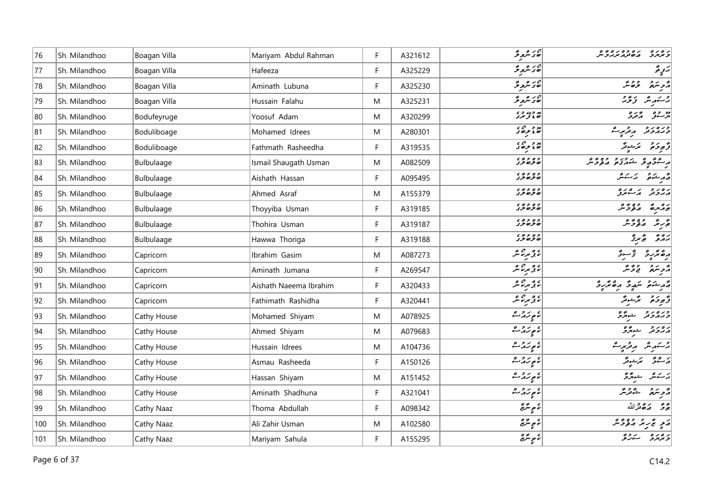| 76  | Sh. Milandhoo | Boagan Villa | Mariyam Abdul Rahman   | $\mathsf F$ | A321612 | 0 ره ه عر                                      | ر ه د ه ر ه د ه<br>په <i>ه تر بر بر</i> تر س<br>ر ه ر ه<br><del>و</del> بربرو |
|-----|---------------|--------------|------------------------|-------------|---------|------------------------------------------------|-------------------------------------------------------------------------------|
| 77  | Sh. Milandhoo | Boagan Villa | Hafeeza                | $\mathsf F$ | A325229 | ەر ە <sub>ھو</sub> مۇ                          | -<br>  پر دو پخو                                                              |
| 78  | Sh. Milandhoo | Boagan Villa | Aminath Lubuna         | F           | A325230 | 7 و مر <sub>و</sub> رم<br>  10 مرمورم          | أرمره<br>ترەش                                                                 |
| 79  | Sh. Milandhoo | Boagan Villa | Hussain Falahu         | M           | A325231 | ەر ە <sub>ھو</sub> مۇ                          | برستهرش وتخبر                                                                 |
| 80  | Sh. Milandhoo | Bodufeyruge  | Yoosuf Adam            | M           | A320299 | پر وي و ،<br><mark>ن ۽ ت</mark> و مرد          | دو وه په ده د                                                                 |
| 81  | Sh. Milandhoo | Boduliboage  | Mohamed Idrees         | M           | A280301 | بر د م<br>موجود                                | ورەرو مەر                                                                     |
| 82  | Sh. Milandhoo | Boduliboage  | Fathmath Rasheedha     | F           | A319535 | بر و م ي<br>م د مړه د                          | تزجوخا محمشوش                                                                 |
| 83  | Sh. Milandhoo | Bulbulaage   | Ismail Shaugath Usman  | M           | A082509 | د ه د و و ،<br>م <i>ه نو ه</i> تر <sub>ک</sub> | ر شر <i>ۇپ ئىشلىق مۇرىر</i>                                                   |
| 84  | Sh. Milandhoo | Bulbulaage   | Aishath Hassan         | F           | A095495 | د ه د د »<br>صوصور                             | ەر ئىستوق بەسكىش                                                              |
| 85  | Sh. Milandhoo | Bulbulaage   | Ahmed Asraf            | M           | A155379 | د ه د د »<br>مه نور                            | رەرو برەرە                                                                    |
| 86  | Sh. Milandhoo | Bulbulaage   | Thoyyiba Usman         | F           | A319185 | د ه د و و و<br>م <i>ه نو</i> نو د              | ره د ده ده                                                                    |
| 87  | Sh. Milandhoo | Bulbulaage   | Thohira Usman          | $\mathsf F$ | A319187 | و ه و و »<br>م <i>ه نو ه</i> نو <sub>ک</sub>   | ۇرىر مۇر                                                                      |
| 88  | Sh. Milandhoo | Bulbulaage   | Hawwa Thoriga          | $\mathsf F$ | A319188 | د ه د د »<br>مه نور                            | رەپ پەرپە                                                                     |
| 89  | Sh. Milandhoo | Capricorn    | Ibrahim Gasim          | M           | A087273 | <sup>ء و</sup> بر <sub>نگ</sub> ىر             | ە ھەترىر <sup>ە</sup><br>سچ مسور<br>ر                                         |
| 90  | Sh. Milandhoo | Capricorn    | Aminath Jumana         | $\mathsf F$ | A269547 | ، و بر نامر<br>مربو ببر                        | أأدمره ومعتم                                                                  |
| 91  | Sh. Milandhoo | Capricorn    | Aishath Naeema Ibrahim | F.          | A320433 | ، و برنامگر                                    | وكروشو سمدة وكالمردة                                                          |
| 92  | Sh. Milandhoo | Capricorn    | Fathimath Rashidha     | F           | A320441 | <mark>، و بر</mark> ندگر                       | تزجوخا متمشوش                                                                 |
| 93  | Sh. Milandhoo | Cathy House  | Mohamed Shiyam         | M           | A078925 | ع م <sub>و</sub> رَهُ <sup>م</sup>             | و ر ه ر د<br>تر پر ژنر<br>شەدگرى                                              |
| 94  | Sh. Milandhoo | Cathy House  | Ahmed Shiyam           | M           | A079683 | ع مرتەر مىشر<br>م                              | ره ر و<br>پرېوتر شودگر                                                        |
| 95  | Sh. Milandhoo | Cathy House  | Hussain Idrees         | M           | A104736 | ، پە ئەرمىسى<br>مۇسىر                          | بزستهر شه به وترسیب شه                                                        |
| 96  | Sh. Milandhoo | Cathy House  | Asmau Rasheeda         | F           | A150126 | <sup>ء</sup> پر پر ژے<br>م                     | ر معرض مرکب میگر<br>مرکب مرکب                                                 |
| 97  | Sh. Milandhoo | Cathy House  | Hassan Shiyam          | M           | A151452 | <sup>ء</sup> پر پر ژے                          | ىر كەش ھەرگرى                                                                 |
| 98  | Sh. Milandhoo | Cathy House  | Aminath Shadhuna       | F           | A321041 | <sup>ء</sup> م <sub>و</sub> ستر مشر            | ە ئەر ئىكەنگە<br>مەر ئىكەنگە                                                  |
| 99  | Sh. Milandhoo | Cathy Naaz   | Thoma Abdullah         | F           | A098342 | ۽ <sub>مو</sub> سمبر<br>موسمبر                 | 22 مَصْعَراللّه                                                               |
| 100 | Sh. Milandhoo | Cathy Naaz   | Ali Zahir Usman        | M           | A102580 | ۽ <sub>مو</sub> سَّري                          | أە پە ئەر بار ئەھمەت ئىس                                                      |
| 101 | Sh. Milandhoo | Cathy Naaz   | Mariyam Sahula         | F           | A155295 | ۽ <sub>مو</sub> سَّري                          | رەرە سەدىۋ                                                                    |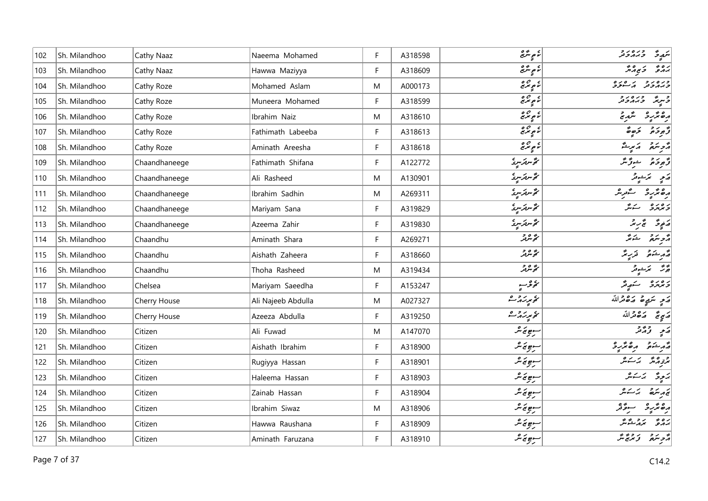| 102 | Sh. Milandhoo | Cathy Naaz    | Naeema Mohamed     | F         | A318598 | ع موسترچ<br> -                         | و ر ه ر د<br><i>د ب</i> رگرفر<br>سمدقح           |
|-----|---------------|---------------|--------------------|-----------|---------|----------------------------------------|--------------------------------------------------|
| 103 | Sh. Milandhoo | Cathy Naaz    | Hawwa Maziyya      | F.        | A318609 | ۽ <sub>مو</sub> سمبر                   | رەپە<br>پەرى<br>ر مع مرکز<br>حسی مرکز            |
| 104 | Sh. Milandhoo | Cathy Roze    | Mohamed Aslam      | M         | A000173 |                                        | برعزو<br>و ر ه ر د<br>و پر پر تر                 |
| 105 | Sh. Milandhoo | Cathy Roze    | Muneera Mohamed    | F         | A318599 |                                        | و ره ر د<br>تر <i>پر</i> وتر<br>د سربر           |
| 106 | Sh. Milandhoo | Cathy Roze    | Ibrahim Naiz       | M         | A318610 |                                        | ە ھەترىرى<br>برھەترىرى<br>سَّرمة                 |
| 107 | Sh. Milandhoo | Cathy Roze    | Fathimath Labeeba  | F         | A318613 |                                        | توجوحي<br>ځرخه څ                                 |
| 108 | Sh. Milandhoo | Cathy Roze    | Aminath Areesha    | F         | A318618 |                                        | ړګر سرچ<br>كرسمي مشكر                            |
| 109 | Sh. Milandhoo | Chaandhaneege | Fathimath Shifana  | F         | A122772 | ڭۇس <sub>ل</sub> رىگىرىدىگە            | مشورمند<br>کے<br>انج محر حر<br>المحر حر حر       |
| 110 | Sh. Milandhoo | Chaandhaneege | Ali Rasheed        | ${\sf M}$ | A130901 | كۇسرىر سرچ                             | أأولمج المخرجور                                  |
| 111 | Sh. Milandhoo | Chaandhaneege | Ibrahim Sadhin     | M         | A269311 | كۇسىرىسى                               | دەنزېرد<br>ڪورير                                 |
| 112 | Sh. Milandhoo | Chaandhaneege | Mariyam Sana       | F.        | A319829 | ڭۇس <sub>ى</sub> رىكەس <sub>ى</sub> گە | وبروه<br>سەئىر                                   |
| 113 | Sh. Milandhoo | Chaandhaneege | Azeema Zahir       | F         | A319830 | ڭۇس <sub>ل</sub> رىترىپرىگە            | ړ <sub>نو</sub> ځ<br>م<br>پچ سر پخه<br>مخ        |
| 114 | Sh. Milandhoo | Chaandhu      | Aminath Shara      | F         | A269271 | پڑ ہ د<br>کارمنز تر                    | أأروسكو<br>ے تھ                                  |
| 115 | Sh. Milandhoo | Chaandhu      | Aishath Zaheera    | F         | A318660 | پر ہ د<br>کارمربر                      | پ <sup>ه</sup> د شوه<br>د د شوه<br>فترسيقه       |
| 116 | Sh. Milandhoo | Chaandhu      | Thoha Rasheed      | M         | A319434 | پر ہ<br>کارمبربر                       | $\frac{2}{x^{2}+x^{2}}$ $\frac{2x}{x^{2}-x^{2}}$ |
| 117 | Sh. Milandhoo | Chelsea       | Mariyam Saeedha    | F         | A153247 | التحوفر                                | رەرە سەرتە                                       |
| 118 | Sh. Milandhoo | Cherry House  | Ali Najeeb Abdulla | M         | A027327 | ىج بىر ئەرم<br>سى                      | أَمَّحٍ سَمَعٍ صَدَّ مَدَّ اللَّهُ               |
| 119 | Sh. Milandhoo | Cherry House  | Azeeza Abdulla     | F.        | A319250 | ىج بىر ئەرم<br>سى                      | <i>مَبِيءَ مَ®مَّ</i> رَاللَّه                   |
| 120 | Sh. Milandhoo | Citizen       | Ali Fuwad          | M         | A147070 | ا سوچ پر<br>پ                          | أركمو ومرقر                                      |
| 121 | Sh. Milandhoo | Citizen       | Aishath Ibrahim    | F         | A318900 | اسىدە ئەتىر<br>كەن                     | دەندىرە<br>په مرشوم<br>د کرمشومو                 |
| 122 | Sh. Milandhoo | Citizen       | Rugiyya Hassan     | F         | A318901 | اسىۋىمىگە<br>كەن                       | چە چە ھەرگە<br>مىرىتى مەرگە<br>پرسەپىر           |
| 123 | Sh. Milandhoo | Citizen       | Haleema Hassan     | F         | A318903 | سوء<br>ڪ                               | برَجِرةٌ<br>برسەھ                                |
| 124 | Sh. Milandhoo | Citizen       | Zainab Hassan      | F         | A318904 | اسىيە<br>ئەسىمى                        | يمرسكة<br>برسەيىتىر                              |
| 125 | Sh. Milandhoo | Citizen       | Ibrahim Siwaz      | M         | A318906 | سىدە ئەتىر<br>سىز                      | ەرھ ئ <sup>ۆ</sup> ر ۋ<br>سىۋۇر                  |
| 126 | Sh. Milandhoo | Citizen       | Hawwa Raushana     | F         | A318909 | اسىۋەتتىر<br>كەن                       | برەپچ<br>ىر دېم شركتر                            |
| 127 | Sh. Milandhoo | Citizen       | Aminath Faruzana   | F         | A318910 | اسوھ پر شر<br>سرچ پر                   | و ده و ده و پر                                   |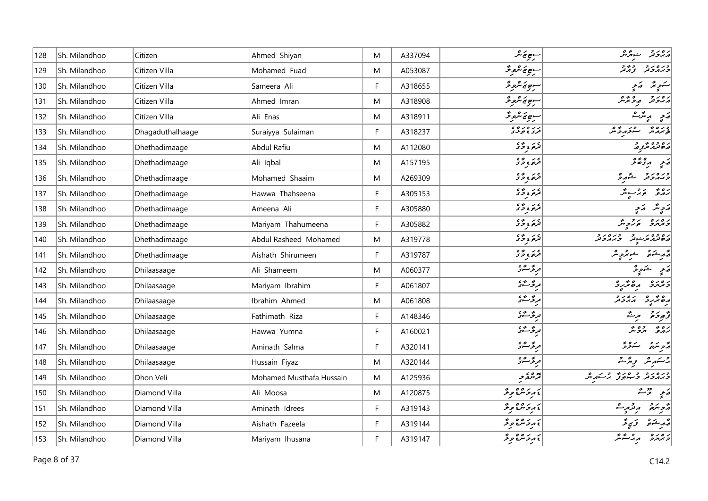| 128 | Sh. Milandhoo | Citizen          | Ahmed Shiyan             | M  | A337094 | سىۋىم<br>سىز                          | أرەر ئەرگىر                                |
|-----|---------------|------------------|--------------------------|----|---------|---------------------------------------|--------------------------------------------|
| 129 | Sh. Milandhoo | Citizen Villa    | Mohamed Fuad             | M  | A053087 | سىۋېم تىرە قر                         | و بر د<br>تر د تر<br>و ره ر د<br>تر پر ژنر |
| 130 | Sh. Milandhoo | Citizen Villa    | Sameera Ali              | F. | A318655 | سەھ ئەشرو قر                          | سَوِيرٌ   اَرَمِ                           |
| 131 | Sh. Milandhoo | Citizen Villa    | Ahmed Imran              | M  | A318908 | ا سوءِ ئي شرو چَر                     | גם ג' קריתית                               |
| 132 | Sh. Milandhoo | Citizen Villa    | Ali Enas                 | M  | A318911 | ا<br>سویج مثرہ محمد<br>کے مشہور محمد  | ړې <sub>په ت</sub> رگ                      |
| 133 | Sh. Milandhoo | Dhagaduthalhaage | Suraiyya Sulaiman        | F  | A318237 | ر ر د ر ر ر<br>تری ٤ جو تر ی          | و ره و.<br>فوسمه<br>سەخ مەڭ ش              |
| 134 | Sh. Milandhoo | Dhethadimaage    | Abdul Rafiu              | M  | A112080 | ۍ د په په<br>مرحو د ژ                 | ر ه ده و د<br>مان مرد برو م                |
| 135 | Sh. Milandhoo | Dhethadimaage    | Ali Iqbal                | M  | A157195 | ه د د د د کا                          |                                            |
| 136 | Sh. Milandhoo | Dhethadimaage    | Mohamed Shaaim           | M  | A269309 | ړ د پر<br>مربوع څر                    | $3.12$ $3.012$                             |
| 137 | Sh. Milandhoo | Dhethadimaage    | Hawwa Thahseena          | F. | A305153 | ړ د پر<br>تره د ژ د                   | رەپە كەربىيە                               |
| 138 | Sh. Milandhoo | Dhethadimaage    | Ameena Ali               | F. | A305880 | ړ د پر په<br>تره د تر د               | أروبتر أروم                                |
| 139 | Sh. Milandhoo | Dhethadimaage    | Mariyam Thahumeena       | F  | A305882 | ه ره په په<br>مر <sub>جع</sub> و د    | دەرە بەرچىگە                               |
| 140 | Sh. Milandhoo | Dhethadimaage    | Abdul Rasheed Mohamed    | M  | A319778 | پرېږې د په                            |                                            |
| 141 | Sh. Milandhoo | Dhethadimaage    | Aishath Shirumeen        | F  | A319787 | ې په په په<br>تره پ <sub>و</sub> څ د  | وكرمشكم مستركونكر                          |
| 142 | Sh. Milandhoo | Dhilaasaage      | Ali Shameem              | M  | A060377 | ەرگۇرىچى                              | أركمج التكوير                              |
| 143 | Sh. Milandhoo | Dhilaasaage      | Mariyam Ibrahim          | F  | A061807 | ەرگۇرىچى                              | במתכ תפתיכ                                 |
| 144 | Sh. Milandhoo | Dhilaasaage      | Ibrahim Ahmed            | M  | A061808 | ەرگەشىمى                              | برورو<br>ەر ھەتمەر 2<br>ر                  |
| 145 | Sh. Milandhoo | Dhilaasaage      | Fathimath Riza           | F. | A148346 | مرگر گے گی                            | و و ده برگ                                 |
| 146 | Sh. Milandhoo | Dhilaasaage      | Hawwa Yumna              | F  | A160021 | مرمح ستيم ۽                           | برەپچ<br>و ه مر<br>مرد سر                  |
| 147 | Sh. Milandhoo | Dhilaasaage      | Aminath Salma            | F  | A320141 | ەرگۇرىچى                              | سەۋۇ<br>أرمز تر                            |
| 148 | Sh. Milandhoo | Dhilaasaage      | Hussain Fiyaz            | M  | A320144 | ىر ئۇسىمى<br>ر                        | برستهرش ويزينه                             |
| 149 | Sh. Milandhoo | Dhon Veli        | Mohamed Musthafa Hussain | M  | A125936 | بو د ء                                | ورەرو وەرە وىمبر                           |
| 150 | Sh. Milandhoo | Diamond Villa    | Ali Moosa                | M  | A120875 | )<br>) أمر حَسْنٌ عرفَر               | $23 - 26$                                  |
| 151 | Sh. Milandhoo | Diamond Villa    | Aminath Idrees           | F  | A319143 | } <sub>م</sub> رځ مرغ <sub>حر</sub> ځ | أدوسكم المتعرف                             |
| 152 | Sh. Milandhoo | Diamond Villa    | Aishath Fazeela          | F. | A319144 | ئەر ئەشۋىر ئە                         | وتمريخو                                    |
| 153 | Sh. Milandhoo | Diamond Villa    | Mariyam Ihusana          | F  | A319147 | ئەر ئەندى ھەر ئە                      | دەرە مەشقىر                                |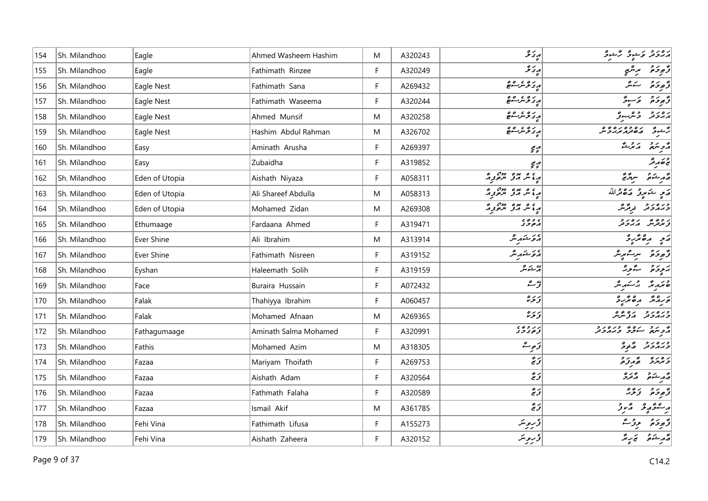| 154 | Sh. Milandhoo | Eagle          | Ahmed Washeem Hashim  | M  | A320243 | <br> جړ <sup>ی</sup> عر                           |                                          |
|-----|---------------|----------------|-----------------------|----|---------|---------------------------------------------------|------------------------------------------|
| 155 | Sh. Milandhoo | Eagle          | Fathimath Rinzee      | F  | A320249 | پړنو                                              | تزودة برشي                               |
| 156 | Sh. Milandhoo | Eagle Nest     | Fathimath Sana        | F. | A269432 | پری گرمرے کے                                      | $\frac{1}{2}$<br>سەمىگە                  |
| 157 | Sh. Milandhoo | Eagle Nest     | Fathimath Waseema     | F. | A320244 | اربره عرضه<br>ا                                   | وحموحهم<br>ۇ سىز                         |
| 158 | Sh. Milandhoo | Eagle Nest     | Ahmed Munsif          | M  | A320258 | پروپر ص <u>ف</u> ق                                | גפנד ביתהקר                              |
| 159 | Sh. Milandhoo | Eagle Nest     | Hashim Abdul Rahman   | M  | A326702 | ىر ئە ئۇ شرىقى<br>مە                              | ره وه ره ده.<br>ماه مرد برگرگ<br>ر شەرى  |
| 160 | Sh. Milandhoo | Easy           | Aminath Arusha        | F  | A269397 | رسمج                                              | أثر حريثهم<br>ىر ترىنىگە                 |
| 161 | Sh. Milandhoo | Easy           | Zubaidha              | F  | A319852 | رسمج                                              |                                          |
| 162 | Sh. Milandhoo | Eden of Utopia | Aishath Niyaza        | F  | A058311 | גם מם כחי בין<br>תגיל תצ                          |                                          |
| 163 | Sh. Milandhoo | Eden of Utopia | Ali Shareef Abdulla   | M  | A058313 | د پاه بده دده د                                   | مَعٍ خَمَعٍ مَصْعَرَ اللَّهَ             |
| 164 | Sh. Milandhoo | Eden of Utopia | Mohamed Zidan         | M  | A269308 | ر میں حدود دورہ ہے<br>ایر عاشر ایرانی الرحوز براہ | ورەرو نوپرىر                             |
| 165 | Sh. Milandhoo | Ethumaage      | Fardaana Ahmed        | F  | A319471 | ن و د د<br>پره و د                                | ر وه مه بره رو<br>و برترس مربروتر        |
| 166 | Sh. Milandhoo | Ever Shine     | Ali Ibrahim           | M  | A313914 | كەر ئەمرىتىر                                      | أمو مقترع                                |
| 167 | Sh. Milandhoo | Ever Shine     | Fathimath Nisreen     | F  | A319152 | كەر ھەمرىگر                                       | ۇپرۇپ بېرىئېرىر                          |
| 168 | Sh. Milandhoo | Eyshan         | Haleemath Solih       | F  | A319159 | ى<br>مەشكەنلىر                                    | رَ پَرِ پَرِ پ                           |
| 169 | Sh. Milandhoo | Face           | Buraira Hussain       | F  | A072432 | ين ه.                                             | ەتبەت بەئىر                              |
| 170 | Sh. Milandhoo | Falak          | Thahiyya Ibrahim      | F. | A060457 | وَىَوْما                                          |                                          |
| 171 | Sh. Milandhoo | Falak          | Mohamed Afnaan        | M  | A269365 | ۇئە                                               | ورەر دەرە بەر<br><i>جەمەدىرى مۇ</i> شرىر |
| 172 | Sh. Milandhoo | Fathagumaage   | Aminath Salma Mohamed | F  | A320991 | ر ر د » ،<br>تو د د د د                           | و ده ده دره در در                        |
| 173 | Sh. Milandhoo | Fathis         | Mohamed Azim          | M  | A318305 | ئۇمۇ <sup>ر</sup>                                 | ورەر د د                                 |
| 174 | Sh. Milandhoo | Fazaa          | Mariyam Thoifath      | F  | A269753 | ترتج                                              | ره ره په رو<br>د برمرد په بروه           |
| 175 | Sh. Milandhoo | Fazaa          | Aishath Adam          | F  | A320564 | تریخ                                              | أحدث فيره                                |
| 176 | Sh. Milandhoo | Fazaa          | Fathmath Falaha       | F  | A320589 | تریخ                                              | وَجِعِدَهُ وَقَرَّرٌ                     |
| 177 | Sh. Milandhoo | Fazaa          | Ismail Akif           | M  | A361785 | تریخ                                              | ە سىتىھ قىرىقى ئىلمار<br>م               |
| 178 | Sh. Milandhoo | Fehi Vina      | Fathimath Lifusa      | F. | A155273 | ۇر <sub>چە مى</sub> ر                             | ومودة ووث                                |
| 179 | Sh. Milandhoo | Fehi Vina      | Aishath Zaheera       | F  | A320152 | ۇروپر                                             | ومرشكوه تمرير                            |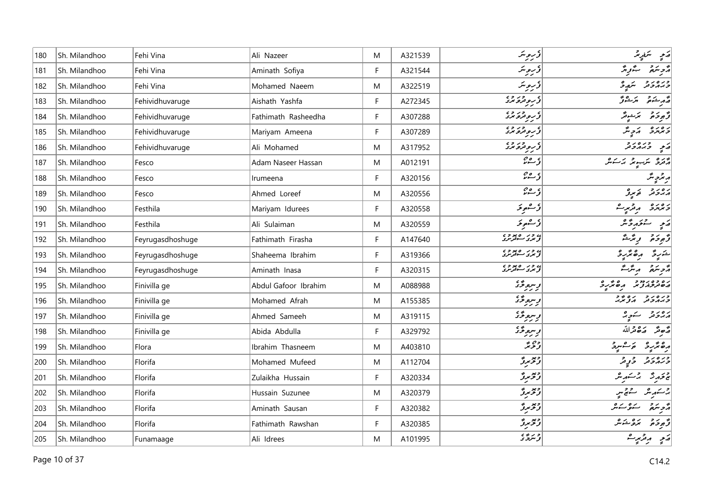| 180 | Sh. Milandhoo | Fehi Vina        | Ali Nazeer           | M         | A321539 | ۇروپر<br>مەم                                  | ەكىي سىن <sub>چى</sub> رىتى<br>مە      |
|-----|---------------|------------------|----------------------|-----------|---------|-----------------------------------------------|----------------------------------------|
| 181 | Sh. Milandhoo | Fehi Vina        | Aminath Sofiya       | F.        | A321544 | ۇ <sub>سرحە</sub> بىگە                        | ړې شره<br>سەُ وِ مە                    |
| 182 | Sh. Milandhoo | Fehi Vina        | Mohamed Naeem        | M         | A322519 | ۇروپىر                                        | و ره ر و<br><i>و پر ه</i> تر<br>سكەپەر |
| 183 | Sh. Milandhoo | Fehividhuvaruge  | Aishath Yashfa       | F         | A272345 | ا د سره مرد د د چ<br>په سره مرد مرد           | ىر شەتر<br>و مر شو د<br>مرکز شو د      |
| 184 | Sh. Milandhoo | Fehividhuvaruge  | Fathimath Rasheedha  | F         | A307288 |                                               | توجوحاته المرشوش                       |
| 185 | Sh. Milandhoo | Fehividhuvaruge  | Mariyam Ameena       | F         | A307289 | ع ره ور و ،<br>  زیر مرد مرد                  | ر ه بر ه<br>د بربرگ<br>مرجه متر        |
| 186 | Sh. Milandhoo | Fehividhuvaruge  | Ali Mohamed          | M         | A317952 | ې ر و د د د د<br>نر ر و تره نر د              |                                        |
| 187 | Sh. Milandhoo | Fesco            | Adam Naseer Hassan   | ${\sf M}$ | A012191 | ې مه م                                        | أوزو الكرباء كالكامل                   |
| 188 | Sh. Milandhoo | Fesco            | Irumeena             | F         | A320156 | ې مه م                                        | ەر بر <sub>ۇچە</sub> بىر               |
| 189 | Sh. Milandhoo | Fesco            | Ahmed Loreef         | M         | A320556 | ۇپەي                                          | رەرد ئەيرۇ                             |
| 190 | Sh. Milandhoo | Festhila         | Mariyam Idurees      | F.        | A320558 | ۇ شەھ چە                                      | و مرمو مرمر مرد                        |
| 191 | Sh. Milandhoo | Festhila         | Ali Sulaiman         | M         | A320559 | ۇ سىمبوخە                                     | ر<br>مۇسىسىمىز ئىگە                    |
| 192 | Sh. Milandhoo | Feyrugasdhoshuge | Fathimath Firasha    | F         | A147640 | دے ورصور و د<br>قریمری سستمبر مر <sub>ک</sub> | وٌودَهُ وِيَرْتُمُ                     |
| 193 | Sh. Milandhoo | Feyrugasdhoshuge | Shaheema Ibrahim     | F         | A319366 | د، و رے مو و ،<br>تو بوی سوتوری               | رە ئەرد<br>ے کے رقبے<br>خ              |
| 194 | Sh. Milandhoo | Feyrugasdhoshuge | Aminath Inasa        | F         | A320315 | دے ورصور و د<br>قریمری سستمبرمری              | ړې سره په مرسر شو                      |
| 195 | Sh. Milandhoo | Finivilla ge     | Abdul Gafoor Ibrahim | M         | A088988 | او سره وځو<br><u>کريري</u>                    | גם כם גדבר הם מגים<br>השנתות מגידות    |
| 196 | Sh. Milandhoo | Finivilla ge     | Mohamed Afrah        | M         | A155385 | او مره و ځ<br><u>گرم</u>                      | כנסני נסשיי<br>כגמכת הציגה             |
| 197 | Sh. Milandhoo | Finivilla ge     | Ahmed Sameeh         | M         | A319115 | و سره څ <sup>ی</sup>                          | ړه ده سکوپر                            |
| 198 | Sh. Milandhoo | Finivilla ge     | Abida Abdulla        | F         | A329792 | او مره وځو<br>ڪ                               | صَّدَّ صَفَّرَاللَّهُ                  |
| 199 | Sh. Milandhoo | Flora            | Ibrahim Thasneem     | M         | A403810 | وړيږ                                          | ە ئەسرىر<br>ىر ھەتتەر 2<br>ر           |
| 200 | Sh. Milandhoo | Florifa          | Mohamed Mufeed       | M         | A112704 | ژنځه برق                                      | ورورو وړی                              |
| 201 | Sh. Milandhoo | Florifa          | Zulaikha Hussain     | F         | A320334 | ۇ ئۆپرۇ                                       | تم تحمير شهر شهر شر                    |
| 202 | Sh. Milandhoo | Florifa          | Hussain Suzunee      | M         | A320379 | د بیخ بررمح                                   | جەسكەر شەھەر<br>مەسكەر سىسكە           |
| 203 | Sh. Milandhoo | Florifa          | Aminath Sausan       | F         | A320382 | وبورد                                         | ړ څر سره<br>سەھ سەھر                   |
| 204 | Sh. Milandhoo | Florifa          | Fathimath Rawshan    | F.        | A320385 | وبيوبر                                        | ىر ۋىشەنگر<br>ۇ بوز بو                 |
| 205 | Sh. Milandhoo | Funamaage        | Ali Idrees           | M         | A101995 | و ر د ،<br>و سرچ ی                            | ړې پرترېږگ                             |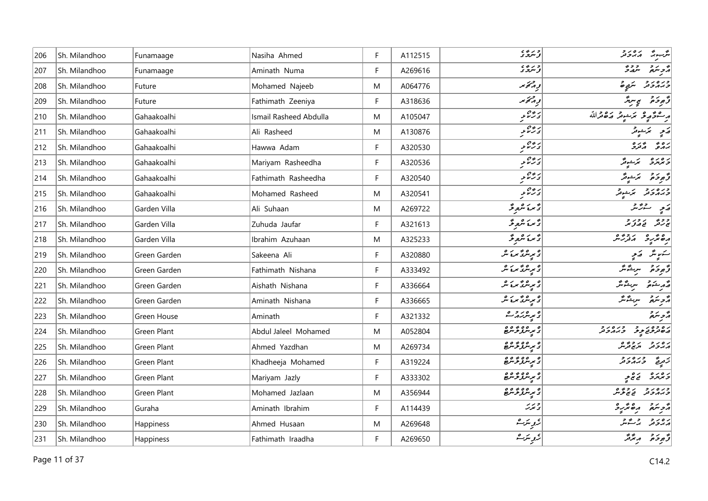| 206 | Sh. Milandhoo | Funamaage          | Nasiha Ahmed           | F  | A112515 | و ر د د<br>توسرچ د                                             | بر 2 د د<br>م <i>ر</i> بر <del>د</del> تر<br>  مَدْ بِ |
|-----|---------------|--------------------|------------------------|----|---------|----------------------------------------------------------------|--------------------------------------------------------|
| 207 | Sh. Milandhoo | Funamaage          | Aminath Numa           | F. | A269616 | و پر پر پر<br>توسر <del>ی</del> ر <sub>ت</sub> ح               | أرمز<br>سرور                                           |
| 208 | Sh. Milandhoo | Future             | Mohamed Najeeb         | M  | A064776 | وپر گھر سر                                                     | ورەرو كريم ك                                           |
| 209 | Sh. Milandhoo | Future             | Fathimath Zeeniya      | F. | A318636 | و چرخه پر                                                      |                                                        |
| 210 | Sh. Milandhoo | Gahaakoalhi        | Ismail Rasheed Abdulla | M  | A105047 | ر پره<br> د شرنگو                                              | م حُجَّم في مَنْ مِنْ مَنْ مِنْ اللَّهِ                |
| 211 | Sh. Milandhoo | Gahaakoalhi        | Ali Rasheed            | M  | A130876 | ر وج<br>ئ شرنگا مو                                             | أرشح المخرجة                                           |
| 212 | Sh. Milandhoo | Gahaakoalhi        | Hawwa Adam             | F  | A320530 | ر وہ<br>ئ <sup>ار ر</sup> ائل مو                               | رەپ پەرە                                               |
| 213 | Sh. Milandhoo | Gahaakoalhi        | Mariyam Rasheedha      | F  | A320536 | ر په چې <sub>مو</sub>                                          | رەرە برَشوتر                                           |
| 214 | Sh. Milandhoo | Gahaakoalhi        | Fathimath Rasheedha    | F  | A320540 | <br> ئەشرىمىسى                                                 | ۇمۇمۇس ئىشىڭر                                          |
| 215 | Sh. Milandhoo | Gahaakoalhi        | Mohamed Rasheed        | M  | A320541 | دینی مو                                                        | ورەرو كەنبەتى                                          |
| 216 | Sh. Milandhoo | Garden Villa       | Ali Suhaan             | M  | A269722 | ۇ بىر ئەشھرىتى                                                 | أەمو سىمىسى                                            |
| 217 | Sh. Milandhoo | Garden Villa       | Zuhuda Jaufar          | F  | A321613 | ۇپرئە ئىرە ئە                                                  | و وي پر ور و<br>پح رنگر کنج د تو تنز                   |
| 218 | Sh. Milandhoo | Garden Villa       | Ibrahim Azuhaan        | M  | A325233 | ۇ بىر ئەشھەقە                                                  | مەھەر بەردە بەر                                        |
| 219 | Sh. Milandhoo | Green Garden       | Sakeena Ali            | F  | A320880 | دىمەيىتى بىر كىشى<br>  دىمەيىتى بىر كىش                        | سكيانثر الكعي                                          |
| 220 | Sh. Milandhoo | Green Garden       | Fathimath Nishana      | F  | A333492 | ە بېرىشتە ئىرىدىكە ئىر                                         | وأمودة المراكبة                                        |
| 221 | Sh. Milandhoo | Green Garden       | Aishath Nishana        | F  | A336664 | دىموسىدى مىلكى<br>  دىموسىدى مىلكى                             | د مرشومي<br>مرم شومي<br>سرىشەتگر                       |
| 222 | Sh. Milandhoo | Green Garden       | Aminath Nishana        | F  | A336665 | <sub>م</sub> حمد محمد محمد محمد محمد                           | أروسي<br>سرىشەتگر                                      |
| 223 | Sh. Milandhoo | Green House        | Aminath                | F  | A321332 | <sub>می می</sub> ر پر چرم<br>  <sub>می</sub> میر <i>سر چرم</i> | و محر سر د                                             |
| 224 | Sh. Milandhoo | <b>Green Plant</b> | Abdul Jaleel Mohamed   | M  | A052804 | ە پرىترى <i>ۋىترى</i><br>ئ                                     | ן 2000 בב 2000.<br>הסתבה בב במחבת                      |
| 225 | Sh. Milandhoo | Green Plant        | Ahmed Yazdhan          | M  | A269734 | <i>و پر بروڅ بر</i> يج                                         |                                                        |
| 226 | Sh. Milandhoo | Green Plant        | Khadheeja Mohamed      | F  | A319224 | <sub>2 مر</sub> برو <sub>گر</sub> گر موقع                      | زَمرِيحَ 34,2%                                         |
| 227 | Sh. Milandhoo | <b>Green Plant</b> | Mariyam Jazly          | F  | A333302 | <sub>2 س</sub> رمرىز ئەرھ                                      | ر ه ر ه<br>ر ه<br>خ ج <del>م</del>                     |
| 228 | Sh. Milandhoo | <b>Green Plant</b> | Mohamed Jazlaan        | M  | A356944 | ە پرىترى <i>ۋىترى</i><br>ئ                                     | ورەر در رومار<br><i>وبرە</i> رىر ئے <sub>ك</sub> رگر   |
| 229 | Sh. Milandhoo | Guraha             | Aminath Ibrahim        | F  | A114439 | ح مربر<br>مح <b>س</b> رت                                       | ومحر المتعارفة والمتحر والمحر                          |
| 230 | Sh. Milandhoo | Happiness          | Ahmed Husaan           | M  | A269648 | <sup>ى</sup> بو بىرىشە                                         | جر محمد تر<br>ەر ئەر                                   |
| 231 | Sh. Milandhoo | Happiness          | Fathimath Iraadha      | F. | A269650 | <sup>ى</sup> بو بىرىشە                                         | أوالمجافرة والمحافر                                    |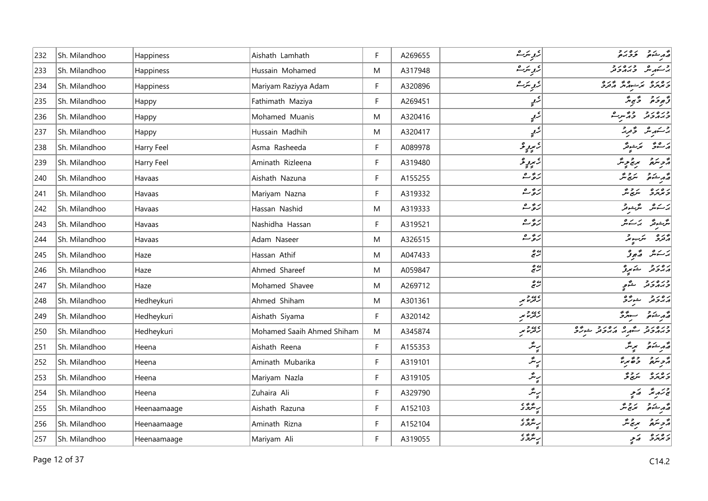| 232 | Sh. Milandhoo | Happiness   | Aishath Lamhath            | F         | A269655 | ئ <sub>ەبو</sub> سەر ھ             |                                                   |
|-----|---------------|-------------|----------------------------|-----------|---------|------------------------------------|---------------------------------------------------|
| 233 | Sh. Milandhoo | Happiness   | Hussain Mohamed            | M         | A317948 | <sup>ى</sup> ب <sub>و</sub> بىرىشە | بر کرده دره در د                                  |
| 234 | Sh. Milandhoo | Happiness   | Mariyam Raziyya Adam       | F         | A320896 | <sup>ى</sup> بو بىرىشە             | נים נים המינה הנים                                |
| 235 | Sh. Milandhoo | Happy       | Fathimath Maziya           | F         | A269451 | اعيمج                              | توجوخهم محبورهم                                   |
| 236 | Sh. Milandhoo | Happy       | Mohamed Muanis             | M         | A320416 | أنحيمج                             | حەر ئەسرىسە<br>و ر ه ر و<br>و پر پر و تر          |
| 237 | Sh. Milandhoo | Happy       | Hussain Madhih             | M         | A320417 | ائبي                               | جاسكور محرج                                       |
| 238 | Sh. Milandhoo | Harry Feel  | Asma Rasheeda              | F         | A089978 | ر<br>رسمو يې                       | برجعتي بمنصوص                                     |
| 239 | Sh. Milandhoo | Harry Feel  | Aminath Rizleena           | F         | A319480 | ر<br>رسمو پېړنې                    | أأدبتكم بدج وبثر                                  |
| 240 | Sh. Milandhoo | Havaas      | Aishath Nazuna             | F         | A155255 | ئەۋىشە                             | ە ئەرىشىنى ئىسى ئىر                               |
| 241 | Sh. Milandhoo | Havaas      | Mariyam Nazna              | F         | A319332 | ئەۋىشە                             | ر ه بر ه<br>تر <del>ب</del> ر بر ژ<br>ىئە چە ئىگر |
| 242 | Sh. Milandhoo | Havaas      | Hassan Nashid              | M         | A319333 | ترةرمشه                            | ىز سەش سۇرىغانلار                                 |
| 243 | Sh. Milandhoo | Havaas      | Nashidha Hassan            | F         | A319521 | ىر پۇر ھ                           | نگرېدوگر - پرک پرک<br>سر                          |
| 244 | Sh. Milandhoo | Havaas      | Adam Naseer                | M         | A326515 | ئەۋىشە                             | وره متن د                                         |
| 245 | Sh. Milandhoo | Haze        | Hassan Athif               | ${\sf M}$ | A047433 | رہ ج                               | پرسكس كرچونى                                      |
| 246 | Sh. Milandhoo | Haze        | Ahmed Shareef              | ${\sf M}$ | A059847 | رہ ج                               | دەرو شەرو                                         |
| 247 | Sh. Milandhoo | Haze        | Mohamed Shavee             | ${\sf M}$ | A269712 | رج ح                               | و ره ر و<br>د بر د تر تر<br>مشومح                 |
| 248 | Sh. Milandhoo | Hedheykuri  | Ahmed Shiham               | M         | A301361 | ه در ۶<br>رتور مو                  | ده د د عروج<br>  د بر د تر د مر                   |
| 249 | Sh. Milandhoo | Hedheykuri  | Aishath Siyama             | F         | A320142 | پی و<br>  رقر <i>نا</i> مر         | وكروشكم المستركز                                  |
| 250 | Sh. Milandhoo | Hedheykuri  | Mohamed Saaih Ahmed Shiham | ${\sf M}$ | A345874 | ے پے ح<br>مرفتر ماسمبر             | ورەرو گېرو رەرو جوگو                              |
| 251 | Sh. Milandhoo | Heena       | Aishath Reena              | F         | A155353 | ىرىتىر                             | وگرڪو سيگر<br>م                                   |
| 252 | Sh. Milandhoo | Heena       | Aminath Mubarika           | F         | A319101 | ىرىتر                              | הכיתם כסיקי                                       |
| 253 | Sh. Milandhoo | Heena       | Mariyam Nazla              | F         | A319105 | ىرىتر                              | ر ه ر ه<br>سرچ پڅه                                |
| 254 | Sh. Milandhoo | Heena       | Zuhaira Ali                | F         | A329790 | رېتر<br>ئ                          | كالتجار بمرتع وتحريج                              |
| 255 | Sh. Milandhoo | Heenaamaage | Aishath Razuna             | F         | A152103 | ر پژوي<br>په مرد د                 |                                                   |
| 256 | Sh. Milandhoo | Heenaamaage | Aminath Rizna              | F         | A152104 | ر پژو <sup>ي</sup>                 | أثرجه تنبعى<br>سرچ پڻر                            |
| 257 | Sh. Milandhoo | Heenaamaage | Mariyam Ali                | F         | A319055 | ر پژو <sup>ي</sup>                 | دەرە كې                                           |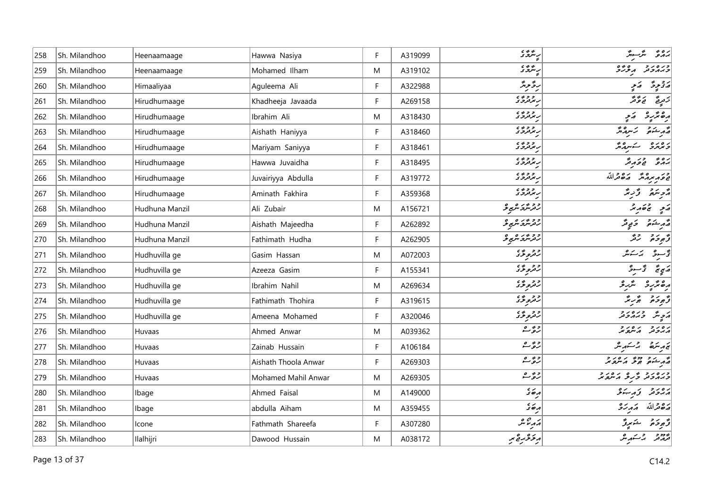| 258 | Sh. Milandhoo | Heenaamaage      | Hawwa Nasiya         | F           | A319099 | ر پڙھ<br>پي                        | رە بە<br>برادى                                                                                                                                                                                                                   |
|-----|---------------|------------------|----------------------|-------------|---------|------------------------------------|----------------------------------------------------------------------------------------------------------------------------------------------------------------------------------------------------------------------------------|
| 259 | Sh. Milandhoo | Heenaamaage      | Mohamed Ilham        | M           | A319102 | ر پڙھ ي<br>پي مگرچري               | و ره ر و<br><i>و پر</i> پر تر<br>ە جەرى                                                                                                                                                                                          |
| 260 | Sh. Milandhoo | Himaaliyaa       | Aguleema Ali         | F           | A322988 | رۇپەر                              | ر چې په مخ<br>په خو                                                                                                                                                                                                              |
| 261 | Sh. Milandhoo | Hirudhumaage     | Khadheeja Javaada    | F           | A269158 | ر و و د د<br>ب بوتور د د           | رَ م <sub>وقع</sub> ً<br>مرسمعً<br>ر پر بر<br>ح حرکر                                                                                                                                                                             |
| 262 | Sh. Milandhoo | Hirudhumaage     | Ibrahim Ali          | M           | A318430 | ارپروژه                            | ە ھەترىرى<br>مەھىرىرى<br>رځ و                                                                                                                                                                                                    |
| 263 | Sh. Milandhoo | Hirudhumaage     | Aishath Haniyya      | F           | A318460 | ر و و د »<br>ب بوترو ی             | ومشكوه كالمحمد                                                                                                                                                                                                                   |
| 264 | Sh. Milandhoo | Hirudhumaage     | Mariyam Saniyya      | F           | A318461 | ر و و د د<br>ب برترو د             | ر ه ر ه<br><del>د</del> بربرگ<br>سەسەر                                                                                                                                                                                           |
| 265 | Sh. Milandhoo | Hirudhumaage     | Hawwa Juvaidha       | F           | A318495 | ر و و بر ی<br>ر بوتور ی            | برەپچ<br>ج تو <sub>م</sub> رتر<br>مع تو مرتر                                                                                                                                                                                     |
| 266 | Sh. Milandhoo | Hirudhumaage     | Juvairiyya Abdulla   | F           | A319772 | ر و و د »<br>ر بوترو ی             | ور مردم ده دانگه                                                                                                                                                                                                                 |
| 267 | Sh. Milandhoo | Hirudhumaage     | Aminath Fakhira      | F           | A359368 | ر و و د د<br>ب بوتور د             | أزويني وتخريثه                                                                                                                                                                                                                   |
| 268 | Sh. Milandhoo | Hudhuna Manzil   | Ali Zubair           | M           | A156721 | ر د ورو پر ه <sub>م</sub> و        | 3,68,76                                                                                                                                                                                                                          |
| 269 | Sh. Milandhoo | Hudhuna Manzil   | Aishath Majeedha     | F           | A262892 | <sup>3</sup> ئىرتىر ئىر ئىر        |                                                                                                                                                                                                                                  |
| 270 | Sh. Milandhoo | Hudhuna Manzil   | Fathimath Hudha      | F           | A262905 | د و وره د هم و<br>رند شرکت شریع لر | ة دشتم كم<br>1.2 شكم كمبر<br>1.2 كمبر م                                                                                                                                                                                          |
| 271 | Sh. Milandhoo | Hudhuvilla ge    | Gasim Hassan         | M           | A072003 | د د<br>رتر <sub>ح قری</sub>        | پچ سوچ<br>تر<br>برسەمىر                                                                                                                                                                                                          |
| 272 | Sh. Milandhoo | Hudhuvilla ge    | Azeeza Gasim         | F           | A155341 | د د په ،<br>رتر <sub>و څ</sub>     | ر<br>په پېڅنې تخ <sup>م</sup> پر                                                                                                                                                                                                 |
| 273 | Sh. Milandhoo | Hudhuvilla ge    | Ibrahim Nahil        | M           | A269634 | د د<br>رند <sub>ج څر</sub>         | دەندىر<br>يتزبرقه                                                                                                                                                                                                                |
| 274 | Sh. Milandhoo | Hudhuvilla ge    | Fathimath Thohira    | F           | A319615 | د د<br>رند <sub>ی فرک</sub>        |                                                                                                                                                                                                                                  |
| 275 | Sh. Milandhoo | Hudhuvilla ge    | Ameena Mohamed       | F           | A320046 | د د د په<br>رتر <sub>و څر</sub>    | أمزجيت<br>و رە ر د<br><i>د بە</i> پەر                                                                                                                                                                                            |
| 276 | Sh. Milandhoo | Huvaas           | Ahmed Anwar          | M           | A039362 | ر پۇ ھ                             | נים בין היישוב בין היישוב בין היישוב בין היישוב בין היישוב בין היישוב בין היישוב בין היישוב בין היישוב בין היי<br>היישוב היישוב בין היישוב בין היישוב בין היישוב בין היישוב בין היישוב בין היישוב בין היישוב בין היישוב בין הייש |
| 277 | Sh. Milandhoo | Huvaas           | Zainab Hussain       | F           | A106184 | ر پۇ شە                            | جر سەر بىر<br>پر ہر ج<br>محمد ہوتھ                                                                                                                                                                                               |
| 278 | Sh. Milandhoo | Huvaas           | Aishath Thoola Anwar | $\mathsf F$ | A269303 | ر پە مە                            |                                                                                                                                                                                                                                  |
| 279 | Sh. Milandhoo | Huvaas           | Mohamed Mahil Anwar  | M           | A269305 | ر پۇ شە                            | ورەر د پرو زەر د                                                                                                                                                                                                                 |
| 280 | Sh. Milandhoo | Ibage            | Ahmed Faisal         | M           | A149000 | ەرەبى                              | يرەرو تەرىبكى                                                                                                                                                                                                                    |
| 281 | Sh. Milandhoo | Ibage            | abdulla Aiham        | M           | A359455 | دەتە                               | أشق محرالله أشربرى                                                                                                                                                                                                               |
| 282 | Sh. Milandhoo | Icone            | Fathmath Shareefa    | F           | A307280 | برمرعير                            | ۇي <sub>ر</sub> وڭ ئىستىرۇ                                                                                                                                                                                                       |
| 283 | Sh. Milandhoo | <b>Ilalhijri</b> | Dawood Hussain       | M           | A038172 | و د د د د ه سر                     | پروو ج کے مربائل                                                                                                                                                                                                                 |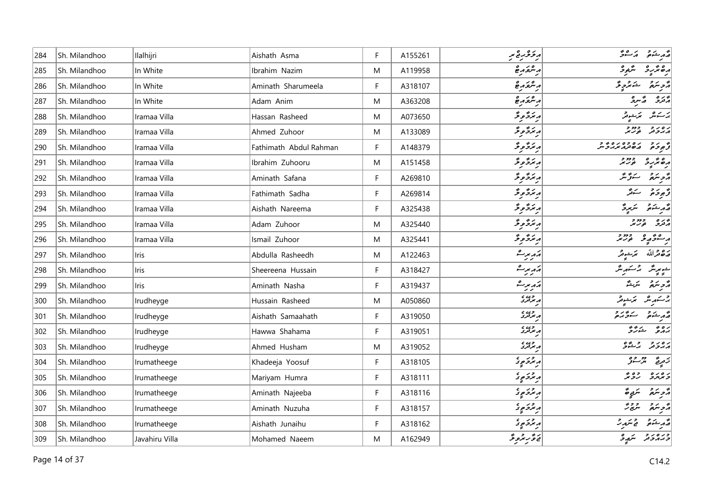| 284 | Sh. Milandhoo | Ilalhijri      | Aishath Asma           | F         | A155261 | پرځه عربي سر               |                                                                   |
|-----|---------------|----------------|------------------------|-----------|---------|----------------------------|-------------------------------------------------------------------|
| 285 | Sh. Milandhoo | In White       | Ibrahim Nazim          | M         | A119958 | وبتنقره                    | ەر ھەترىرى<br>بر ھەترىرى<br>سَّفَرِ رَ                            |
| 286 | Sh. Milandhoo | In White       | Aminath Sharumeela     | F         | A318107 | ارشفره                     | أأرسم<br>شە ترىپە ئ                                               |
| 287 | Sh. Milandhoo | In White       | Adam Anim              | M         | A363208 | اربثغ رقح                  | په ره<br>د ترو<br>رمج سرچ                                         |
| 288 | Sh. Milandhoo | Iramaa Villa   | Hassan Rasheed         | M         | A073650 | وبزة وقر                   | ىزىكەش ئۆسىدىگ                                                    |
| 289 | Sh. Milandhoo | Iramaa Villa   | Ahmed Zuhoor           | M         | A133089 | وبزة وقر                   | ره رح دود و<br>پرکرفر فوتر پر                                     |
| 290 | Sh. Milandhoo | Iramaa Villa   | Fathimath Abdul Rahman | F         | A148379 | وبزة وقر                   | ر ٥ ر ٥ ر ٥ ر<br>پر <i>۲۵ د بر بر</i> ر س<br>ۇ بوخ <sup>م</sup> ۇ |
| 291 | Sh. Milandhoo | Iramaa Villa   | Ibrahim Zuhooru        | M         | A151458 | پر پَرُوَّ وِ وََّ         | ם מים בריב<br>גם מים בימי                                         |
| 292 | Sh. Milandhoo | Iramaa Villa   | Aminath Safana         | F         | A269810 | رىزۇرۇ                     | أأرسيني<br>سەۋىتر                                                 |
| 293 | Sh. Milandhoo | Iramaa Villa   | Fathimath Sadha        | F         | A269814 | وبزة وقر                   | قەم ئەقر                                                          |
| 294 | Sh. Milandhoo | Iramaa Villa   | Aishath Nareema        | F         | A325438 | لرېزۇرۇ                    | مەرشى سىر                                                         |
| 295 | Sh. Milandhoo | Iramaa Villa   | Adam Zuhoor            | ${\sf M}$ | A325440 | وبزة وقر                   | په ره<br>د ترو<br>5 وو و<br>خونر بو                               |
| 296 | Sh. Milandhoo | Iramaa Villa   | Ismail Zuhoor          | M         | A325441 | وبزة وقر                   | وره وه ودود                                                       |
| 297 | Sh. Milandhoo | Iris           | Abdulla Rasheedh       | ${\sf M}$ | A122463 | ر<br>مربر سر<br>سربر       | ره والله محرشونر<br>صرحتها الله محرشونر                           |
| 298 | Sh. Milandhoo | Iris           | Sheereena Hussain      | F         | A318427 | اړېږيز ه                   | شوبرنگر برگسکریٹر<br>محمد الم                                     |
| 299 | Sh. Milandhoo | Iris           | Aminath Nasha          | F         | A319437 | ەز بىر مە<br>م             | أأدمني الكيفة                                                     |
| 300 | Sh. Milandhoo | Irudheyge      | Hussain Rasheed        | M         | A050860 | و ده د<br>مرموتور          | رحم المراكز المركب وكر                                            |
| 301 | Sh. Milandhoo | Irudheyge      | Aishath Samaahath      | F         | A319050 | <br>  د برترد              | پ <sup>ھ</sup> مرشنو<br>ا<br>ر بر در د<br>ستوگره                  |
| 302 | Sh. Milandhoo | Irudheyge      | Hawwa Shahama          | F         | A319051 | پر ترتر پر<br>  پر ترتر پر | برەپچ<br>رىمە ئەنتى                                               |
| 303 | Sh. Milandhoo | Irudheyge      | Ahmed Husham           | M         | A319052 | <br>  مرمرفری              | برشوح<br>ر ه ر د<br>م.رو تر                                       |
| 304 | Sh. Milandhoo | Irumatheege    | Khadeeja Yoosuf        | F         | A318105 | پر ټر ځرمو ځ               | دد و ه<br>در سور<br>  ترْمَدِيَّے                                 |
| 305 | Sh. Milandhoo | Irumatheege    | Mariyam Humra          | F         | A318111 | د بر دې<br>بر بر دې        | ر ه ر ه<br>د بربر د<br>روه پژ                                     |
| 306 | Sh. Milandhoo | Irumatheege    | Aminath Najeeba        | F         | A318116 | ېر تر <i>دې</i><br>ر       | أأترجع أتكفي فليستنسخ                                             |
| 307 | Sh. Milandhoo | Irumatheege    | Aminath Nuzuha         | F         | A318157 | ېر تر دې<br>رسمر د ځو      | سرچ ر<br>أثر حريثهمج                                              |
| 308 | Sh. Milandhoo | Irumatheege    | Aishath Junaihu        | F         | A318162 | د بر دې<br>بر بر دې د      | أقهر مشتمر في مكرر                                                |
| 309 | Sh. Milandhoo | Javahiru Villa | Mohamed Naeem          | M         | A162949 | ئەقرىر ترەپە قە            | ورەر دىرە                                                         |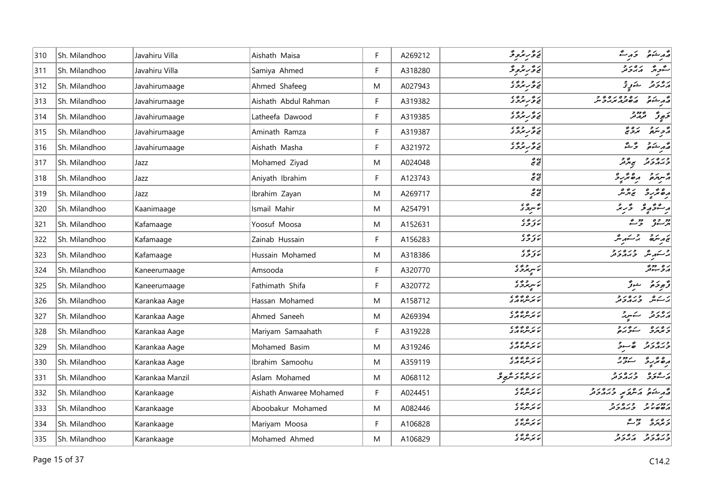| 310 | Sh. Milandhoo | Javahiru Villa  | Aishath Maisa           | F         | A269212 | ئۇ ئۆر بىر بىر ئە                           | مەر يىلىم ئىمرىگە<br>مەر يىلىمى                                       |
|-----|---------------|-----------------|-------------------------|-----------|---------|---------------------------------------------|-----------------------------------------------------------------------|
| 311 | Sh. Milandhoo | Javahiru Villa  | Samiya Ahmed            | F         | A318280 | ئەقەر بر بر ۋ                               | سڈر پڑ<br>بر ٥ پر ۳<br>د بر <del>د</del> تر                           |
| 312 | Sh. Milandhoo | Javahirumaage   | Ahmed Shafeeg           | M         | A027943 | ریم رحمہ ی<br>  ہے جگہ سرچ ی                | رەرد شەرچ                                                             |
| 313 | Sh. Milandhoo | Javahirumaage   | Aishath Abdul Rahman    | F         | A319382 | ریم رچ وي<br>  بع قر مرکز د                 | ره ده ره د و د<br>پره تر <i>پر پر</i> ژ<br>پھر دیکھیے<br>حرکہ مشتر ہی |
| 314 | Sh. Milandhoo | Javahirumaage   | Latheefa Dawood         | F         | A319385 | ریم رحمہ ی<br>  ہے جگہ سرچ ی                | پر دو و<br>تر <i>هر</i> تر<br>  تَرْجٍ تَرَّ                          |
| 315 | Sh. Milandhoo | Javahirumaage   | Aminath Ramza           | F         | A319387 | پر ځر پر څر <sup>ي</sup>                    | أأدبتكم بردم                                                          |
| 316 | Sh. Milandhoo | Javahirumaage   | Aishath Masha           | F         | A321972 | پر څر پر چري<br>  پر څر پر چر <sub>چر</sub> | مەرشەم گەش                                                            |
| 317 | Sh. Milandhoo | Jazz            | Mohamed Ziyad           | M         | A024048 | ین ہ<br>قع ہم                               | כממכת התבר                                                            |
| 318 | Sh. Milandhoo | Jazz            | Aniyath Ibrahim         | F         | A123743 | یرہ<br>فع مح                                | أأسرارة المقابرة                                                      |
| 319 | Sh. Milandhoo | Jazz            | Ibrahim Zayan           | M         | A269717 | یرہ<br>فع مح                                | دە ئۆرۈ<br>ىر ئۇرىتر                                                  |
| 320 | Sh. Milandhoo | Kaanimaage      | Ismail Mahir            | M         | A254791 | په سرچ <sup>ي</sup>                         | وستوصفه والمراثر                                                      |
| 321 | Sh. Milandhoo | Kafamaage       | Yoosuf Moosa            | M         | A152631 | ر ر و ،<br>ما تو <del>ر</del> د             | در ده در م                                                            |
| 322 | Sh. Milandhoo | Kafamaage       | Zainab Hussain          | F         | A156283 | ر ر » ،<br>ما تو ژ د                        | zur de                                                                |
| 323 | Sh. Milandhoo | Kafamaage       | Hussain Mohamed         | ${\sf M}$ | A318386 | ر ر پر پر<br>رو تر <sub>تر</sub>            | جر شهر شده در د                                                       |
| 324 | Sh. Milandhoo | Kaneerumaage    | Amsooda                 | F         | A320770 | ر سرچري<br>پاسپېټرنۍ                        | ر ٥ <u>دد</u> ۶.                                                      |
| 325 | Sh. Milandhoo | Kaneerumaage    | Fathimath Shifa         | F         | A320772 | ر سرچري<br>تأسي <sup>ت</sup> رچري           | قەم ئەقتى ئىسىمىتى ئىس                                                |
| 326 | Sh. Milandhoo | Karankaa Aage   | Hassan Mohamed          | M         | A158712 | ر ر ه د د ،<br>ما پرسربواری                 | يركبش وبرورو                                                          |
| 327 | Sh. Milandhoo | Karankaa Aage   | Ahmed Saneeh            | M         | A269394 | ر ر ه ۶۶۶<br>ما بر س با د د                 | رەرو سەرو                                                             |
| 328 | Sh. Milandhoo | Karankaa Aage   | Mariyam Samaahath       | F         | A319228 | ر ر ه ۶۶۶<br>ما بر سربر اړ ی                | سەۋىر ۋ<br>ر ہ ر ہ<br>تر <del>ب</del> ر بر                            |
| 329 | Sh. Milandhoo | Karankaa Aage   | Mohamed Basim           | M         | A319246 | ر ر ه ۶۶۶<br>ما بر سربا در                  | ورەرو ئەسىر                                                           |
| 330 | Sh. Milandhoo | Karankaa Aage   | Ibrahim Samoohu         | M         | A359119 | ر ر ه د د ،<br>ما بر سرد د د                | سترود<br>ەر ھەترىر <i>3</i>                                           |
| 331 | Sh. Milandhoo | Karankaa Manzil | Aslam Mohamed           | M         | A068112 | ر رەپ رەپرى                                 | د قره دره در                                                          |
| 332 | Sh. Milandhoo | Karankaage      | Aishath Anwaree Mohamed | F         | A024451 | ر ر ه و د ،<br>ما بر سرد د                  | و مشهور وره دره در                                                    |
| 333 | Sh. Milandhoo | Karankaage      | Aboobakur Mohamed       | M         | A082446 | ر ره و د ،<br>ما نیرس د                     | נ בב ג ב<br>1. סיס מ' זק<br>و پر و پر و<br>تر <i>پر څ</i> ر           |
| 334 | Sh. Milandhoo | Karankaage      | Mariyam Moosa           | F         | A106828 | ر ره و د ،<br>ما بر مرد د                   | ر ه ر ه<br><del>ر</del> بربر ژ<br>دريمه                               |
| 335 | Sh. Milandhoo | Karankaage      | Mohamed Ahmed           | M         | A106829 | ر ر ه و د ،<br>ما <del>ب</del> ر سرد د      | ورەرو رەرو<br><i>ج</i> ىمەدىر مىروىر                                  |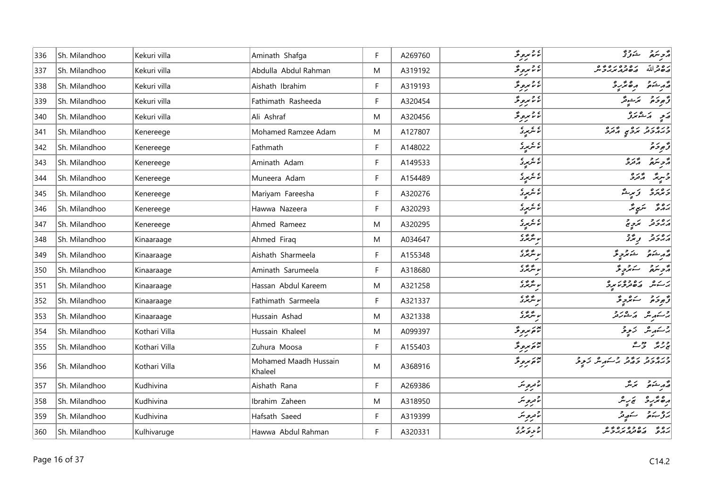| 336 | Sh. Milandhoo | Kekuri villa  | Aminath Shafga                   | F         | A269760 | ، ئەبىرە م <sup>ۇ</sup> | أثر جر سنوري                                    |
|-----|---------------|---------------|----------------------------------|-----------|---------|-------------------------|-------------------------------------------------|
| 337 | Sh. Milandhoo | Kekuri villa  | Abdulla Abdul Rahman             | ${\sf M}$ | A319192 | ، ئەبىرە م <sup>ۇ</sup> | ره وه ره د ه<br>پره تربر تر تر تر<br>برە تراللە |
| 338 | Sh. Milandhoo | Kekuri villa  | Aishath Ibrahim                  | F         | A319193 | ، ئەبىرە بۇ<br>س        | مەيدىنى مەھكرىد                                 |
| 339 | Sh. Milandhoo | Kekuri villa  | Fathimath Rasheeda               | F         | A320454 | ، ئە بىرە بۇ<br>س       | و ده نرمور                                      |
| 340 | Sh. Milandhoo | Kekuri villa  | Ali Ashraf                       | M         | A320456 | ، ئەبىرە بۇ<br>س        | ړی پر شویرو                                     |
| 341 | Sh. Milandhoo | Kenereege     | Mohamed Ramzee Adam              | M         | A127807 | ى ئەرىپە<br>مامىرىپورى  | وره رو ره<br>د برمرد بردې مرترد                 |
| 342 | Sh. Milandhoo | Kenereege     | Fathmath                         | F         | A148022 | ى<br>ئامىرىيەتى         | و په دره<br>د کلمر                              |
| 343 | Sh. Milandhoo | Kenereege     | Aminath Adam                     | F         | A149533 | ى<br>ئەمىرىمورى         | أثرمني<br>پەر ە<br>مەنىرى                       |
| 344 | Sh. Milandhoo | Kenereege     | Muneera Adam                     | F         | A154489 | ، ۽ پري<br>ماسر پري     | وحيريم أأرده                                    |
| 345 | Sh. Milandhoo | Kenereege     | Mariyam Fareesha                 | F         | A320276 | ى ئىرىرى<br>ئىرىكى      | ر ه ر ه<br><del>و</del> بربرو<br>وكبرشة         |
| 346 | Sh. Milandhoo | Kenereege     | Hawwa Nazeera                    | F         | A320293 | ى<br>ئامىرىپرى          | برە ئەسىم ئىگە                                  |
| 347 | Sh. Milandhoo | Kenereege     | Ahmed Rameez                     | ${\sf M}$ | A320295 | ع مگر پر <sup>ج</sup>   | بر ه بر د<br>م <i>ر</i> کوتر<br>بمردح           |
| 348 | Sh. Milandhoo | Kinaaraage    | Ahmed Firaq                      | ${\sf M}$ | A034647 | بېر مېژبو ؟             | أرور ويرتج                                      |
| 349 | Sh. Milandhoo | Kinaaraage    | Aishath Sharmeela                | F         | A155348 | ىر مۇيۇ <sup>ي</sup>    | وأرشكم الشرورو                                  |
| 350 | Sh. Milandhoo | Kinaaraage    | Aminath Sarumeela                | F         | A318680 | ىر مۇبىرى<br>ب          | ۇ يەدە سەئىرى ئە                                |
| 351 | Sh. Milandhoo | Kinaaraage    | Hassan Abdul Kareem              | M         | A321258 | ىر مۇرىپى<br>ب          | برے عز رہ دہ دی ہو                              |
| 352 | Sh. Milandhoo | Kinaaraage    | Fathimath Sarmeela               | F         | A321337 | ىر مۇيىرى<br>ب          | أزوده سنرديز                                    |
| 353 | Sh. Milandhoo | Kinaaraage    | Hussain Ashad                    | M         | A321338 | ىر مەرىپى<br>س          | أير سكهر شرك المراشر وراجع                      |
| 354 | Sh. Milandhoo | Kothari Villa | Hussain Khaleel                  | M         | A099397 | معتمر سرعر محر          | 2ىسىرىدە كەبچەقە                                |
| 355 | Sh. Milandhoo | Kothari Villa | Zuhura Moosa                     | F         | A155403 | تقۇمرەغە                | ەرەپە دەپ                                       |
| 356 | Sh. Milandhoo | Kothari Villa | Mohamed Maadh Hussain<br>Khaleel | ${\sf M}$ | A368916 | تقصم سرحرقحه            | בנסנד נשר המליק לתוכ                            |
| 357 | Sh. Milandhoo | Kudhivina     | Aishath Rana                     | F         | A269386 | ر<br>مورپوسکه           | أقهر شدة أتمرش                                  |
| 358 | Sh. Milandhoo | Kudhivina     | Ibrahim Zaheen                   | ${\sf M}$ | A318950 | ر<br>موروبیز            | مەھترىرى ئەرىر                                  |
| 359 | Sh. Milandhoo | Kudhivina     | Hafsath Saeed                    | F         | A319399 | ر<br>مورپوسکر           | برە برو سەمدىر                                  |
| 360 | Sh. Milandhoo | Kulhivaruge   | Hawwa Abdul Rahman               | F         | A320331 | د په ده<br>ماغږغه پرې   | رەپ رەدەرەپ<br>بەرو مەھىرمە <i>برى</i> رىس      |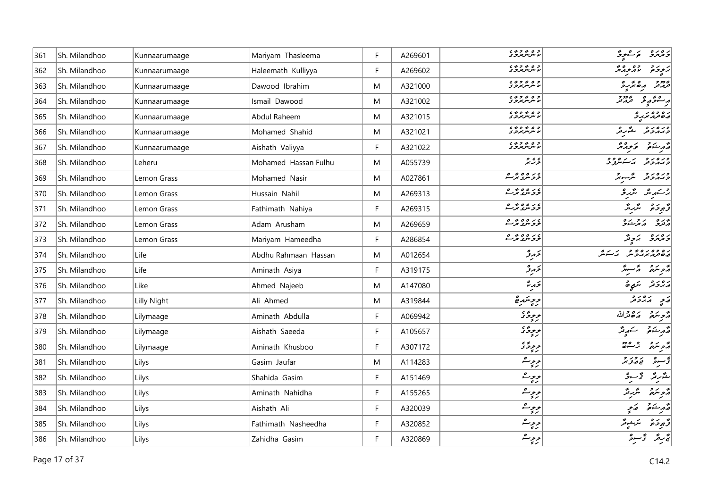| 361 | Sh. Milandhoo | Kunnaarumaage      | Mariyam Thasleema    | F.          | A269601 | و ه پر و د ،<br>ما سرسرپرو د            | ر ه ر ه<br>د بربرد<br>ە ئەسەبەر            |
|-----|---------------|--------------------|----------------------|-------------|---------|-----------------------------------------|--------------------------------------------|
| 362 | Sh. Milandhoo | Kunnaarumaage      | Haleemath Kulliyya   | F.          | A269602 | و ه پر و د ،<br>د سرسربرو د             | כם במיק<br>ממי <i>כ</i> מיק<br>  پر پوځ ه  |
| 363 | Sh. Milandhoo | Kunnaarumaage      | Dawood Ibrahim       | Μ           | A321000 | و ه پر وی ،<br>ما س س پر <del>و</del> ی | پر دو و<br>تو پر تو<br>ەھ تررۋ             |
| 364 | Sh. Milandhoo | Kunnaarumaage      | Ismail Dawood        | M           | A321002 | و ه پر و د ،<br>ما سرسرپرو د            | ەرسەۋەپەيۋ<br>پر دو و<br>تئرار تئر         |
| 365 | Sh. Milandhoo | Kunnaarumaage      | Abdul Raheem         | Μ           | A321015 | و ه پر و د ،<br>ما س سر پر و ی          | ره وه در ه<br>د ه مرد مربر د               |
| 366 | Sh. Milandhoo | Kunnaarumaage      | Mohamed Shahid       | Μ           | A321021 | و ۵ په وه  ي<br>ما سرسربرو  ي           | ورەر دەر ھەرىر<br><i>دىرى</i> رونر ھەرىر   |
| 367 | Sh. Milandhoo | Kunnaarumaage      | Aishath Valiyya      | F           | A321022 | د ه پر د پر<br>ما سرسر پر د د           | مەرشىم قرومى                               |
| 368 | Sh. Milandhoo | Leheru             | Mohamed Hassan Fulhu | M           | A055739 | ی ی و<br>نور بو                         | ورەرو پەسكىرود                             |
| 369 | Sh. Milandhoo | Lemon Grass        | Mohamed Nasir        | M           | A027861 | ، رەەپرە                                | و رە ر د<br><i>د بر</i> بر تر<br>مترجبه تر |
| 370 | Sh. Milandhoo | Lemon Grass        | Hussain Nahil        | M           | A269313 | ، رەەپرە<br>بۇرس <sub>ى</sub> بۇ بە     | يزعتكر مثريثه                              |
| 371 | Sh. Milandhoo | Lemon Grass        | Fathimath Nahiya     | F.          | A269315 | ، رەەپرە<br>بۇرس <sub>ى</sub> بۇ بە     | ۇ بوزى<br>متزر پژ                          |
| 372 | Sh. Milandhoo | Lemon Grass        | Adam Arusham         | M           | A269659 | ، رەەپرە<br>بۇرس <sub>ى</sub> بۇ بە     | په ره<br>د تعرو<br>ىر ترىنەۋ               |
| 373 | Sh. Milandhoo | Lemon Grass        | Mariyam Hameedha     | F           | A286854 | ، رەە » رە<br>بۇر سرى ئىر سە            | رەرە پەر                                   |
| 374 | Sh. Milandhoo | Life               | Abdhu Rahmaan Hassan | Μ           | A012654 | ځه پژ                                   | رە دەرەپ دىرى<br>مەھىرمەيرىرىس كەسكىر      |
| 375 | Sh. Milandhoo | Life               | Aminath Asiya        | F           | A319175 | ىر<br>مۇم تۈ                            | أأروبترة أأريبته                           |
| 376 | Sh. Milandhoo | Like               | Ahmed Najeeb         | M           | A147080 | خەر ش                                   | د ه د تر چ                                 |
| 377 | Sh. Milandhoo | <b>Lilly Night</b> | Ali Ahmed            | M           | A319844 | وويئيرة                                 | ړی پرورو                                   |
| 378 | Sh. Milandhoo | Lilymaage          | Aminath Abdulla      | F.          | A069942 | ووژگی                                   | مَّحْمِ مَعْ مَدَّةَ مِنْ اللَّهُ          |
| 379 | Sh. Milandhoo | Lilymaage          | Aishath Saeeda       | F           | A105657 | ووڈءُ                                   | ۇ مەشقۇم<br>مەم<br>ستهرقر                  |
| 380 | Sh. Milandhoo | Lilymaage          | Aminath Khusboo      | F           | A307172 | ووڈ ڈ<br>ر                              | أرمز يتمده<br>ترجيع                        |
| 381 | Sh. Milandhoo | Lilys              | Gasim Jaufar         | Μ           | A114283 | اوويہ<br>اپنے                           | ۇسىر ئ<br>ر ور و<br>ق <i>ه</i> تو تنر      |
| 382 | Sh. Milandhoo | Lilys              | Shahida Gasim        | F           | A151469 | اووية<br>ك                              | شَرِيرٌ تَرْسِرْ                           |
| 383 | Sh. Milandhoo | Lilys              | Aminath Nahidha      | $\mathsf F$ | A155265 | اوويہ<br>پي                             | سرٌر ترٌ<br>ومحر سرة                       |
| 384 | Sh. Milandhoo | Lilys              | Aishath Ali          | F.          | A320039 | اوويہ<br>پي                             | مەر خىم كەم                                |
| 385 | Sh. Milandhoo | Lilys              | Fathimath Nasheedha  | F           | A320852 | اووٹ<br>پی                              | وحجوحهم                                    |
| 386 | Sh. Milandhoo | Lilys              | Zahidha Gasim        | F           | A320869 | وور                                     | ى ئىر قىر قى سىرى                          |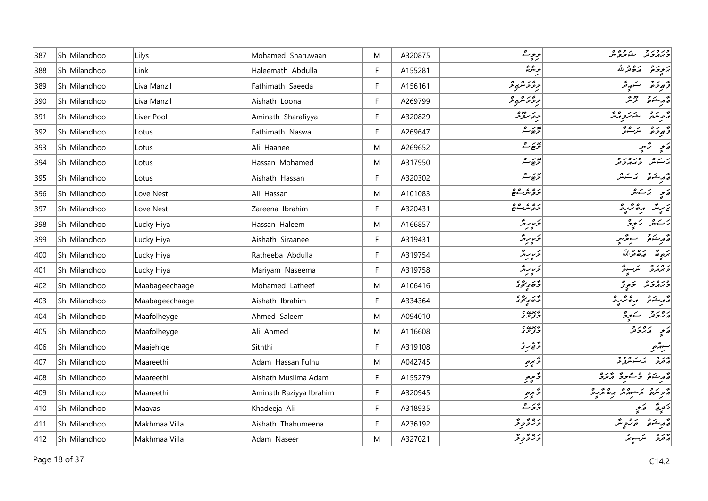| 387 | Sh. Milandhoo | Lilys          | Mohamed Sharuwaan       | M  | A320875 | ىرىرىشە                            | شە بەر بەر<br>و ره ر د<br>تر پر ژ تر       |
|-----|---------------|----------------|-------------------------|----|---------|------------------------------------|--------------------------------------------|
| 388 | Sh. Milandhoo | Link           | Haleemath Abdulla       | F. | A155281 | وبثربا                             | برە قراللە<br>  پر پوځ ه                   |
| 389 | Sh. Milandhoo | Liva Manzil    | Fathimath Saeeda        | F. | A156161 | ىر ئۇ ئەنگىر ئى                    | ا تو بر در<br>ا<br>سەمەتىر                 |
| 390 | Sh. Milandhoo | Liva Manzil    | Aishath Loona           | F  | A269799 | لجوة خرجوجة                        | ة مرشوق <sub>ة</sub><br>حزبتر              |
| 391 | Sh. Milandhoo | Liver Pool     | Aminath Sharafiyya      | F  | A320829 | وءَ برووه                          | أأترسم<br>شە ئىز تو ەر ئىز                 |
| 392 | Sh. Milandhoo | Lotus          | Fathimath Naswa         | F  | A269647 | پر رہ<br>خر <u>ی</u> ج ک           | قرم في المراكبة                            |
| 393 | Sh. Milandhoo | Lotus          | Ali Haanee              | M  | A269652 | بربر <u>م</u>                      | أەسمج سىمسىيە                              |
| 394 | Sh. Milandhoo | Lotus          | Hassan Mohamed          | M  | A317950 | پر رہ<br>خر <u>ی</u> ج ک           | يركبش وره رو                               |
| 395 | Sh. Milandhoo | Lotus          | Aishath Hassan          | F  | A320302 | پر رہ<br>خر <u>ی</u> ج ک           | ۇرىشۇ ئەسكەش                               |
| 396 | Sh. Milandhoo | Love Nest      | Ali Hassan              | M  | A101083 | ىرە ، رە ە                         | أەي برخىش                                  |
| 397 | Sh. Milandhoo | Love Nest      | Zareena Ibrahim         | F  | A320431 | ىرە ، يەرە                         | ىم يېڭر رەھ ترېرى                          |
| 398 | Sh. Milandhoo | Lucky Hiya     | Hassan Haleem           | M  | A166857 | ا ئەيدىدىگە<br>ئىس <u>سە</u>       | ىرىكى ئەبەق                                |
| 399 | Sh. Milandhoo | Lucky Hiya     | Aishath Siraanee        | F  | A319431 | ا ئەرىرىدىگە<br>ئىس <u>سە</u> ر    |                                            |
| 400 | Sh. Milandhoo | Lucky Hiya     | Ratheeba Abdulla        | F  | A319754 | ۇ بەر بەر<br>ئەس                   |                                            |
| 401 | Sh. Milandhoo | Lucky Hiya     | Mariyam Naseema         | F  | A319758 | ۇ بەر بەر<br>ئەسىر                 | دەرە سەرج                                  |
| 402 | Sh. Milandhoo | Maabageechaage | Mohamed Latheef         | M  | A106416 | و پر پر دي.<br>د ځانگوري           | ورورو كبرو                                 |
| 403 | Sh. Milandhoo | Maabageechaage | Aishath Ibrahim         | F. | A334364 | د څو په د                          | مەم ئىسكى ئەھەم بور                        |
| 404 | Sh. Milandhoo | Maafolheyge    | Ahmed Saleem            | M  | A094010 | ە يىزى ئ<br>تركر ئىرى              | رەرو سەرو                                  |
| 405 | Sh. Milandhoo | Maafolheyge    | Ali Ahmed               | M  | A116608 | په پوړ،  ،<br>ترکو لر <sub>ک</sub> |                                            |
| 406 | Sh. Milandhoo | Maajehige      | Siththi                 | F  | A319108 | ءِ ۽ پري<br>ح                      | سوهمو                                      |
| 407 | Sh. Milandhoo | Maareethi      | Adam Hassan Fulhu       | M  | A042745 | ۇ بىر <i>م</i> و                   | وره پر شود و                               |
| 408 | Sh. Milandhoo | Maareethi      | Aishath Muslima Adam    | F  | A155279 | ځ <sub>موجو</sub>                  | و مدد و د عبود و دره<br>و مدارستون د مدارد |
| 409 | Sh. Milandhoo | Maareethi      | Aminath Raziyya Ibrahim | F  | A320945 | ځ <sub>موجو</sub>                  | הקיתה ת' יותר תסתיק                        |
| 410 | Sh. Milandhoo | Maavas         | Khadeeja Ali            | F  | A318935 | ژځ شه                              | ر <i>ُموجٌ م</i> َجٍ                       |
| 411 | Sh. Milandhoo | Makhmaa Villa  | Aishath Thahumeena      | F. | A236192 | ئەز ئۇ يۇ ئى                       | د مر شوه.<br>مر<br>ە ئەجەبىر<br>مۇرخوسى    |
| 412 | Sh. Milandhoo | Makhmaa Villa  | Adam Naseer             | M  | A327021 | ئەر ئۇ ئەر ئۇ                      | ر<br>مەمرى سىبىر                           |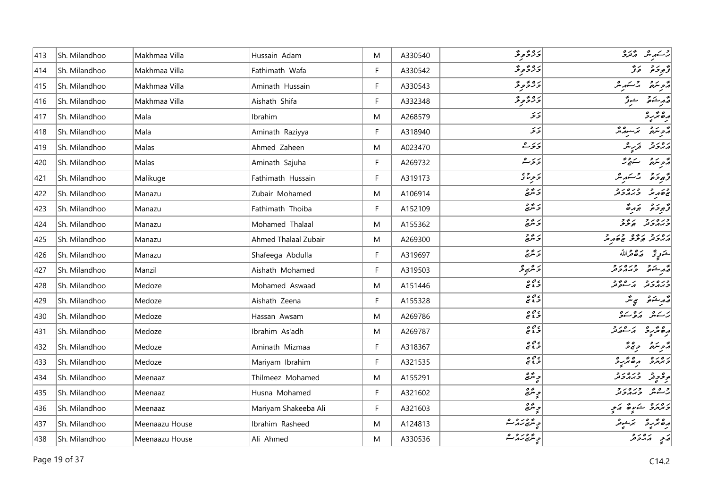| 413 | Sh. Milandhoo | Makhmaa Villa  | Hussain Adam         | ${\sf M}$ | A330540 | 533ءِ تَر                                                                    | 2 سەر شەر مەمرىتى<br>مەمرىش مەمرى                            |
|-----|---------------|----------------|----------------------|-----------|---------|------------------------------------------------------------------------------|--------------------------------------------------------------|
| 414 | Sh. Milandhoo | Makhmaa Villa  | Fathimath Wafa       | F         | A330542 | ئەر ئۇ ئەر                                                                   | و دو دو.<br>دوده دو.<br>دوسه دستهر                           |
| 415 | Sh. Milandhoo | Makhmaa Villa  | Aminath Hussain      | F         | A330543 | ئەر ئۇ ئۇ ئە                                                                 |                                                              |
| 416 | Sh. Milandhoo | Makhmaa Villa  | Aishath Shifa        | F         | A332348 | ئەر ئۇيۇ                                                                     | ړګر شوځ شورگر<br>د مشوځ شورگر<br>د هڅر د                     |
| 417 | Sh. Milandhoo | Mala           | Ibrahim              | ${\sf M}$ | A268579 | ىزى                                                                          |                                                              |
| 418 | Sh. Milandhoo | Mala           | Aminath Raziyya      | F         | A318940 | زىز                                                                          |                                                              |
| 419 | Sh. Milandhoo | Malas          | Ahmed Zaheen         | ${\sf M}$ | A023470 | ىز ئە                                                                        | رەرو ئرىد                                                    |
| 420 | Sh. Milandhoo | Malas          | Aminath Sajuha       | F         | A269732 | ىزىمى                                                                        | أأرو منتصر                                                   |
| 421 | Sh. Milandhoo | Malikuge       | Fathimath Hussain    | F         | A319173 | ئەمەر بى                                                                     | تورد ويتمرش                                                  |
| 422 | Sh. Milandhoo | Manazu         | Zubair Mohamed       | M         | A106914 | ترثيري                                                                       | - دره د د<br>د بر د بر<br> خ ځوړ تنه                         |
| 423 | Sh. Milandhoo | Manazu         | Fathimath Thoiba     | F         | A152109 | ىر شرح                                                                       | أزودة ورة                                                    |
| 424 | Sh. Milandhoo | Manazu         | Mohamed Thalaal      | M         | A155362 | تر شرح                                                                       | ورەر دەر                                                     |
| 425 | Sh. Milandhoo | Manazu         | Ahmed Thalaal Zubair | M         | A269300 | ىر بۇر <sub>ىچ</sub>                                                         | رور و بروه و در د                                            |
| 426 | Sh. Milandhoo | Manazu         | Shafeega Abdulla     | F         | A319697 | تر شرح                                                                       | شَعَرٍيَّتْ صَ <b>صَحَ</b> رْاللَّه                          |
| 427 | Sh. Milandhoo | Manzil         | Aishath Mohamed      | F         | A319503 | ځەشمېرىڅە                                                                    | ه دو دره دو                                                  |
| 428 | Sh. Milandhoo | Medoze         | Mohamed Aswaad       | M         | A151446 | $rac{\partial C}{\partial t}$                                                | ورەرو پرەھىر                                                 |
| 429 | Sh. Milandhoo | Medoze         | Aishath Zeena        | F         | A155328 | $\overset{o}{\mathcal{E}} \overset{o}{\mathcal{E}} \overset{c}{\mathcal{S}}$ | ۇرمىنى ئېر                                                   |
| 430 | Sh. Milandhoo | Medoze         | Hassan Awsam         | M         | A269786 | $\overset{o}{\mathcal{E}} \overset{o}{\mathcal{E}} \overset{c}{\mathcal{S}}$ | 22222                                                        |
| 431 | Sh. Milandhoo | Medoze         | Ibrahim As'adh       | M         | A269787 | $rac{\partial C}{\partial t}$                                                | ת ביציב ה' בהב                                               |
| 432 | Sh. Milandhoo | Medoze         | Aminath Mizmaa       | F         | A318367 | $\overset{o}{\mathcal{E}} \overset{o}{\mathcal{E}} \overset{c}{\mathcal{S}}$ | أأدبتكم وبحث                                                 |
| 433 | Sh. Milandhoo | Medoze         | Mariyam Ibrahim      | F         | A321535 | 882                                                                          | ە ھەترىرى<br>برھ ترىرى<br>ر ه بر ه<br>تر <del>ب</del> ر بر ژ |
| 434 | Sh. Milandhoo | Meenaaz        | Thilmeez Mohamed     | M         | A155291 | جريثي                                                                        | ە 1015 - 1015<br>موفويتر - 1015 مر                           |
| 435 | Sh. Milandhoo | Meenaaz        | Husna Mohamed        | F         | A321602 | حريثره                                                                       | و مشر در در د<br>پرسشر و پروونر                              |
| 436 | Sh. Milandhoo | Meenaaz        | Mariyam Shakeeba Ali | F         | A321603 | حريثره                                                                       | دوره خرمة كمو                                                |
| 437 | Sh. Milandhoo | Meenaazu House | Ibrahim Rasheed      | ${\sf M}$ | A124813 | ا <sub>چە ت</sub> رىروت                                                      | رەڭرو كەشوقر                                                 |
| 438 | Sh. Milandhoo | Meenaazu House | Ali Ahmed            | M         | A330536 | جە ئى <i>رى ئەر</i> م                                                        | أتكمي المركز والمحمد                                         |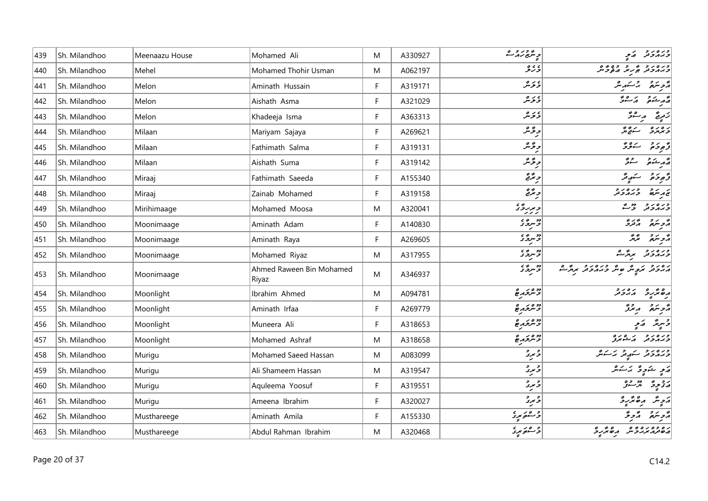| 439 | Sh. Milandhoo        | Meenaazu House | Mohamed Ali                       | M         | A330927 | <sub>چە م</sub> ىرى ئەركىسى<br>سىرى | دره دو کرم                                                                                                                                                                          |
|-----|----------------------|----------------|-----------------------------------|-----------|---------|-------------------------------------|-------------------------------------------------------------------------------------------------------------------------------------------------------------------------------------|
| 440 | Sh. Milandhoo        | Mehel          | Mohamed Thohir Usman              | M         | A062197 | <sup>ى يە</sup> بىر                 |                                                                                                                                                                                     |
| 441 | Sh. Milandhoo        | Melon          | Aminath Hussain                   | F         | A319171 | ۇبۇر                                | أأترسم بمستمر شر                                                                                                                                                                    |
| 442 | Sh. Milandhoo        | Melon          | Aishath Asma                      | F.        | A321029 | ې پر ه<br>د <del>ن</del> ر س        | ومرشكة وسنو                                                                                                                                                                         |
| 443 | Sh. Milandhoo        | Melon          | Khadeeja Isma                     | F         | A363313 | ې پر ه<br>د <del>ن</del> ر س        | كزمرقح ورقومح                                                                                                                                                                       |
| 444 | Sh. Milandhoo        | Milaan         | Mariyam Sajaya                    | F         | A269621 | د دٌ شر                             | و و ده در در د                                                                                                                                                                      |
| 445 | Sh. Milandhoo        | Milaan         | Fathimath Salma                   | F         | A319131 | جرځىگە                              | توجوجو سنوخ                                                                                                                                                                         |
| 446 | <b>Sh. Milandhoo</b> | Milaan         | Aishath Suma                      | F.        | A319142 | جرځېگر                              | $\begin{array}{cc} \begin{array}{cc} \circ & \circ & \circ \\ \circ & \circ & \circ \end{array} & \begin{array}{cc} \circ & \circ \\ \circ & \circ & \circ \end{array} \end{array}$ |
| 447 | <b>Sh. Milandhoo</b> | Miraaj         | Fathimath Saeeda                  | F.        | A155340 | و پڑھ<br>ر                          | و ده شهر                                                                                                                                                                            |
| 448 | Sh. Milandhoo        | Miraaj         | Zainab Mohamed                    | F         | A319158 | حريمده                              | ير مرد دره دره                                                                                                                                                                      |
| 449 | Sh. Milandhoo        | Mirihimaage    | Mohamed Moosa                     | M         | A320041 | او بوروی<br>اب برای                 | ورەر دور.<br>وبرورو وت                                                                                                                                                              |
| 450 | Sh. Milandhoo        | Moonimaage     | Aminath Adam                      | F         | A140830 | יי<br>קייקבצ                        | پە رە<br>مەنىرو<br>أزجر سرة                                                                                                                                                         |
| 451 | <b>Sh. Milandhoo</b> | Moonimaage     | Aminath Raya                      | F         | A269605 | دو په په<br>تر سرچ ک                | أأدوسه أتمرش                                                                                                                                                                        |
| 452 | Sh. Milandhoo        | Moonimaage     | Mohamed Riyaz                     | ${\sf M}$ | A317955 | دو په په<br>د سرچ د                 | כנסנב תוצים                                                                                                                                                                         |
| 453 | Sh. Milandhoo        | Moonimaage     | Ahmed Raween Bin Mohamed<br>Riyaz | M         | A346937 | دوسرچ ۽                             | גם גב גם הם כנסגב בם.<br>גגבת תפית קיית בגגבת תות ב                                                                                                                                 |
| 454 | Sh. Milandhoo        | Moonlight      | Ibrahim Ahmed                     | M         | A094781 | ومشرقه فالمحمد                      | دەنزىر مەددىر                                                                                                                                                                       |
| 455 | Sh. Milandhoo        | Moonlight      | Aminath Irfaa                     | F         | A269779 | وحمر بحرمه                          |                                                                                                                                                                                     |
| 456 | <b>Sh. Milandhoo</b> | Moonlight      | Muneera Ali                       | F         | A318653 | وده ره<br>د سرگرم                   |                                                                                                                                                                                     |
| 457 | Sh. Milandhoo        | Moonlight      | Mohamed Ashraf                    | M         | A318658 | ومرغره                              | ورەرو كە <u>مەدە</u>                                                                                                                                                                |
| 458 | Sh. Milandhoo        | Muriqu         | Mohamed Saeed Hassan              | M         | A083099 | و برد<br>و برد                      | ورەرو سەپى ئەسەر                                                                                                                                                                    |
| 459 | Sh. Milandhoo        | Murigu         | Ali Shameem Hassan                | M         | A319547 | د<br>ترسمر <sup>و</sup>             | أوالمج المكوفي وكالكوالي                                                                                                                                                            |
| 460 | Sh. Milandhoo        | Muriqu         | Aquleema Yoosuf                   | F         | A319551 | و بر د<br>مر                        | $\frac{1}{2}$ $\frac{1}{2}$ $\frac{1}{2}$ $\frac{1}{2}$ $\frac{1}{2}$ $\frac{1}{2}$ $\frac{1}{2}$                                                                                   |
| 461 | Sh. Milandhoo        | Murigu         | Ameena Ibrahim                    | F.        | A320027 | و برد<br>و برد                      | أرَجِسٌ رِهِ يُرْبِرُ                                                                                                                                                               |
| 462 | Sh. Milandhoo        | Musthareege    | Aminath Amila                     | F         | A155330 | ر صدر بر ع<br> تر سور سور           | ړو شرح پر دېڅ                                                                                                                                                                       |
| 463 | Sh. Milandhoo        | Musthareege    | Abdul Rahman Ibrahim              | M         | A320468 | د صمر سره<br>د سومړين               | גם כם גם כם הם משל כם                                                                                                                                                               |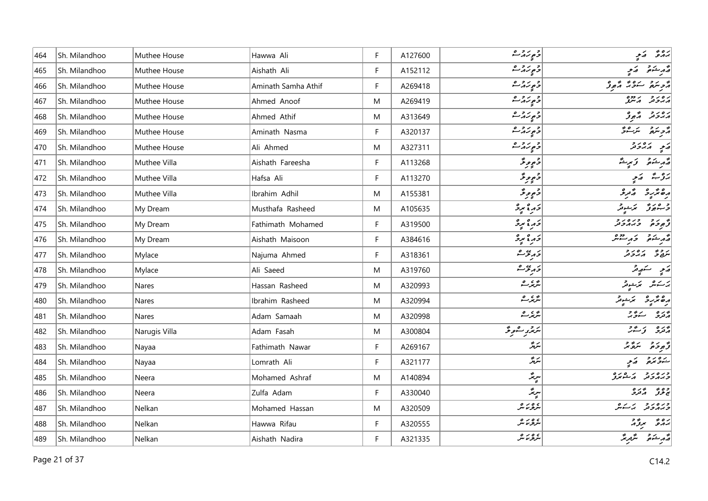| 464 | Sh. Milandhoo | Muthee House  | Hawwa Ali           | $\mathsf F$ | A127600 | <sub>حەمە</sub> ر ئەر                                                                                               | برەپچ<br>ەئىپ                                                                                                                                                                                                                          |
|-----|---------------|---------------|---------------------|-------------|---------|---------------------------------------------------------------------------------------------------------------------|----------------------------------------------------------------------------------------------------------------------------------------------------------------------------------------------------------------------------------------|
| 465 | Sh. Milandhoo | Muthee House  | Aishath Ali         | F.          | A152112 | ج م <sub>و</sub> ر تەر شە                                                                                           | $\frac{1}{2}$ $\frac{2}{3}$ $\frac{1}{2}$                                                                                                                                                                                              |
| 466 | Sh. Milandhoo | Muthee House  | Aminath Samha Athif | F           | A269418 | <sub>ج مو</sub> رَدْ مْ                                                                                             |                                                                                                                                                                                                                                        |
| 467 | Sh. Milandhoo | Muthee House  | Ahmed Anoof         | M           | A269419 | <sub>چ پو</sub> ر پر م                                                                                              | ره رو دروه                                                                                                                                                                                                                             |
| 468 | Sh. Milandhoo | Muthee House  | Ahmed Athif         | M           | A313649 | <sub>چېم</sub> ر تر مه                                                                                              | رەر ئەرە                                                                                                                                                                                                                               |
| 469 | Sh. Milandhoo | Muthee House  | Aminath Nasma       | F.          | A320137 | د مور ته د ه<br>د پور ته ش                                                                                          |                                                                                                                                                                                                                                        |
| 470 | Sh. Milandhoo | Muthee House  | Ali Ahmed           | M           | A327311 | <sub>چە بە</sub> ر ئە                                                                                               | أوسم المتحدد                                                                                                                                                                                                                           |
| 471 | Sh. Milandhoo | Muthee Villa  | Aishath Fareesha    | F           | A113268 | د<br>د وورځ                                                                                                         |                                                                                                                                                                                                                                        |
| 472 | Sh. Milandhoo | Muthee Villa  | Hafsa Ali           | F           | A113270 | د<br>د وورځ                                                                                                         |                                                                                                                                                                                                                                        |
| 473 | Sh. Milandhoo | Muthee Villa  | Ibrahim Adhil       | M           | A155381 | د<br>د ورو ژ                                                                                                        |                                                                                                                                                                                                                                        |
| 474 | Sh. Milandhoo | My Dream      | Musthafa Rasheed    | M           | A105635 | د کره بود<br>د کره بود                                                                                              |                                                                                                                                                                                                                                        |
| 475 | Sh. Milandhoo | My Dream      | Fathimath Mohamed   | $\mathsf F$ | A319500 | ر<br>دَرِ؟ برد                                                                                                      | و ر ه ر و<br>تر پر ژ تر<br>ۇ ب <sub>و</sub> ر د                                                                                                                                                                                        |
| 476 | Sh. Milandhoo | My Dream      | Aishath Maisoon     | F.          | A384616 | د کره برد<br>د کره برد                                                                                              | أأراد وأستقر                                                                                                                                                                                                                           |
| 477 | Sh. Milandhoo | Mylace        | Najuma Ahmed        | F           | A318361 | ىر مەھ<br>ج                                                                                                         | ر و ده بره رو<br>سرچ د کربرو تر                                                                                                                                                                                                        |
| 478 | Sh. Milandhoo | Mylace        | Ali Saeed           | M           | A319760 | ىز مەيھەت<br>مەس                                                                                                    | أشع ستهيفر                                                                                                                                                                                                                             |
| 479 | Sh. Milandhoo | <b>Nares</b>  | Hassan Rasheed      | M           | A320993 | ىئەبر ھ                                                                                                             | ر<br>ایر کشور استخدام کار میتواند<br>ایر کشور استخدام کارونی که برای میتواند که برای میتواند که به کاروناک به کاروناک به کاروناک به کاروناک به کارو<br>ایرانیک به کاروناک به کاروناک به کاروناک به کاروناک به کاروناک به کاروناک به کا |
| 480 | Sh. Milandhoo | <b>Nares</b>  | Ibrahim Rasheed     | M           | A320994 | متزبر م                                                                                                             |                                                                                                                                                                                                                                        |
| 481 | Sh. Milandhoo | Nares         | Adam Samaah         | M           | A320998 | متزبر ه                                                                                                             | $25 - 0.4$                                                                                                                                                                                                                             |
| 482 | Sh. Milandhoo | Narugis Villa | Adam Fasah          | M           | A300804 | ىئر <i>پرېم</i> سىن ئىستى ئىستار ئىستار ئىستار ئىستار ئىستار ئىستار ئىستار ئىستار ئىستار ئىستار ئىستار ئىستار ئىستا | پر و توسیق                                                                                                                                                                                                                             |
| 483 | Sh. Milandhoo | Nayaa         | Fathimath Nawar     | F.          | A269167 | سرپڑ                                                                                                                | وحجوحهم<br>سرة حر                                                                                                                                                                                                                      |
| 484 | Sh. Milandhoo | Nayaa         | Lomrath Ali         | F           | A321177 | سرپڑ                                                                                                                | بده د د د                                                                                                                                                                                                                              |
| 485 | Sh. Milandhoo | Neera         | Mohamed Ashraf      | M           | A140894 | سريتر                                                                                                               | 22012 كەش <i>ەيرە</i>                                                                                                                                                                                                                  |
| 486 | Sh. Milandhoo | Neera         | Zulfa Adam          | F           | A330040 | سرپٹر                                                                                                               | وه به عره<br>بحرق م <i>ر</i> ترو                                                                                                                                                                                                       |
| 487 | Sh. Milandhoo | Nelkan        | Mohamed Hassan      | M           | A320509 | ، ە بر ھ<br>سرچرىرىش                                                                                                | ورەرو پەسەر                                                                                                                                                                                                                            |
| 488 | Sh. Milandhoo | Nelkan        | Hawwa Rifau         | F           | A320555 | ە <i>دېۋىدى</i> ر                                                                                                   | برەپچ<br>بروژ                                                                                                                                                                                                                          |
| 489 | Sh. Milandhoo | Nelkan        | Aishath Nadira      | F.          | A321335 | ە <i>دې م</i> ىر                                                                                                    | أمام يسكونه المتعربين                                                                                                                                                                                                                  |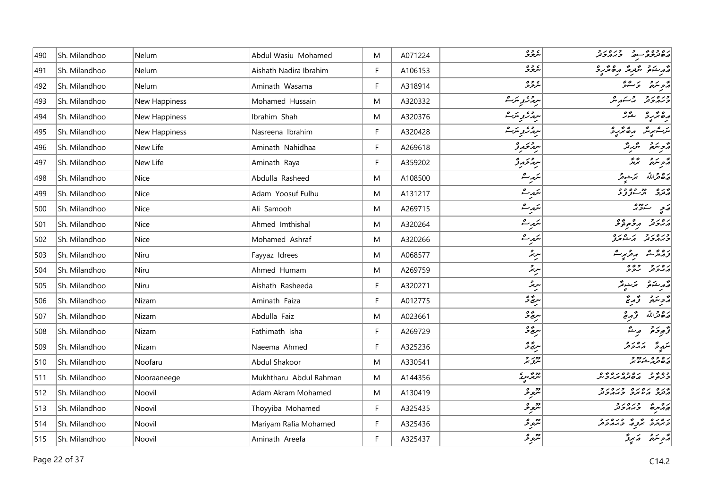| 490 | Sh. Milandhoo | Nelum         | Abdul Wasiu Mohamed    | M  | A071224 | ړ و ه<br>سربولو      | נס כס מ- כנסניב<br>הסתיכת ייחד במחבת                                                                                                                                                                                            |
|-----|---------------|---------------|------------------------|----|---------|----------------------|---------------------------------------------------------------------------------------------------------------------------------------------------------------------------------------------------------------------------------|
| 491 | Sh. Milandhoo | Nelum         | Aishath Nadira Ibrahim | F  | A106153 | ړ و ه<br>سربرتر      | وأرجنو ترمرشه وكالررد                                                                                                                                                                                                           |
| 492 | Sh. Milandhoo | Nelum         | Aminath Wasama         | F. | A318914 | ړ و ه<br>سربرتر      | أأوسم وكسكر                                                                                                                                                                                                                     |
| 493 | Sh. Milandhoo | New Happiness | Mohamed Hussain        | M  | A320332 | سرو محر پر سرے       | ورەرو ورىدىگ                                                                                                                                                                                                                    |
| 494 | Sh. Milandhoo | New Happiness | Ibrahim Shah           | M  | A320376 | سرو محمو بترت        | ستذر<br>ە ھەترىرى<br>بر ھەترىرى                                                                                                                                                                                                 |
| 495 | Sh. Milandhoo | New Happiness | Nasreena Ibrahim       | F  | A320428 | سرە ئەبۇ بىرگ        | تر شمېرىن مەھترىرى                                                                                                                                                                                                              |
| 496 | Sh. Milandhoo | New Life      | Aminath Nahidhaa       | F  | A269618 | سرمز خرمر و          | أأرمز<br>ىتزبرقىر                                                                                                                                                                                                               |
| 497 | Sh. Milandhoo | New Life      | Aminath Raya           | F  | A359202 | سرمز ځرمر ژ          | برمجر<br>أثر حريثهم                                                                                                                                                                                                             |
| 498 | Sh. Milandhoo | Nice          | Abdulla Rasheed        | M  | A108500 | سَمرِ ث              | پره قرالله تمرشونر                                                                                                                                                                                                              |
| 499 | Sh. Milandhoo | Nice          | Adam Yoosuf Fulhu      | M  | A131217 | سَمرِ ت              | دد ده د د<br>در سور د د<br>پور ہ<br>پرترنژ                                                                                                                                                                                      |
| 500 | Sh. Milandhoo | Nice          | Ali Samooh             | M  | A269715 | سَمرِ ت              | أوسمح سنردوه                                                                                                                                                                                                                    |
| 501 | Sh. Milandhoo | Nice          | Ahmed Imthishal        | M  | A320264 | ىئىرىشە              | رەرد مرحوڅو                                                                                                                                                                                                                     |
| 502 | Sh. Milandhoo | Nice          | Mohamed Ashraf         | M  | A320266 | ىئىرىشە              | وره رو بر عره<br><i>و بر مر</i> شو برو                                                                                                                                                                                          |
| 503 | Sh. Milandhoo | Niru          | Fayyaz Idrees          | M  | A068577 | سریڑ                 | د ه پېښو په مرتدين په                                                                                                                                                                                                           |
| 504 | Sh. Milandhoo | Niru          | Ahmed Humam            | M  | A269759 | سرچر                 | ره رو وده                                                                                                                                                                                                                       |
| 505 | Sh. Milandhoo | Niru          | Aishath Rasheeda       | F. | A320271 | سرچر                 | و<br>مرشوم مرشوم                                                                                                                                                                                                                |
| 506 | Sh. Milandhoo | Nizam         | Aminath Faiza          | F. | A012775 | سرچو                 | أثرجه تنزه<br>تو مرجح                                                                                                                                                                                                           |
| 507 | Sh. Milandhoo | Nizam         | Abdulla Faiz           | M  | A023661 | سرچو                 | <mark>برە ت</mark> راللە<br>تر مر مح                                                                                                                                                                                            |
| 508 | Sh. Milandhoo | Nizam         | Fathimath Isha         | F  | A269729 | سريح ثر              | رشگ<br>ء مر د<br>ترموخ <sub>ان</sub> و                                                                                                                                                                                          |
| 509 | Sh. Milandhoo | Nizam         | Naeema Ahmed           | F. | A325236 | سرچو                 | سمەقە<br>پرور و                                                                                                                                                                                                                 |
| 510 | Sh. Milandhoo | Noofaru       | Abdul Shakoor          | M  | A330541 | دور و<br>سرو بر      | ره وه ردوو<br>پره ترپر شور بر                                                                                                                                                                                                   |
| 511 | Sh. Milandhoo | Nooraaneege   | Mukhtharu Abdul Rahman | M  | A144356 | چېچىسى<br>سرىئەسىي   | ر ٥ <i>٥ ٥ ٥ ٥ ٥</i><br>۵ <i>۵ تر ٨ . بر بر ر</i><br>و ه ه و د<br>د ز ه مر                                                                                                                                                      |
| 512 | Sh. Milandhoo | Noovil        | Adam Akram Mohamed     | M  | A130419 | يتر <sub>عر</sub> قر | מנס נסנס כנסנכ<br>הנקב היו <i>אר</i> כמהכנק                                                                                                                                                                                     |
| 513 | Sh. Milandhoo | Noovil        | Thoyyiba Mohamed       | F  | A325435 | يتر <sub>عر</sub> و  | و رە ر د<br>تر پر تر تر<br>גם גם<br>המתום                                                                                                                                                                                       |
| 514 | Sh. Milandhoo | Noovil        | Mariyam Rafia Mohamed  | F. | A325436 | يتروعه               | גם גם האת הירינים באוריים ביו היריים ביו היריים ביו היריים ביו היריים ביו היריים ביו היריים ביו היריים ביו היר<br>היריים ביו היריים ביו היריים ביו היריים ביו היריים ביו היריים ביו היריים ביו היריים ביו היריים בין היריים בין |
| 515 | Sh. Milandhoo | Noovil        | Aminath Areefa         | F  | A325437 | يتر <sub>عر</sub> و  | أزويتم أأتهو                                                                                                                                                                                                                    |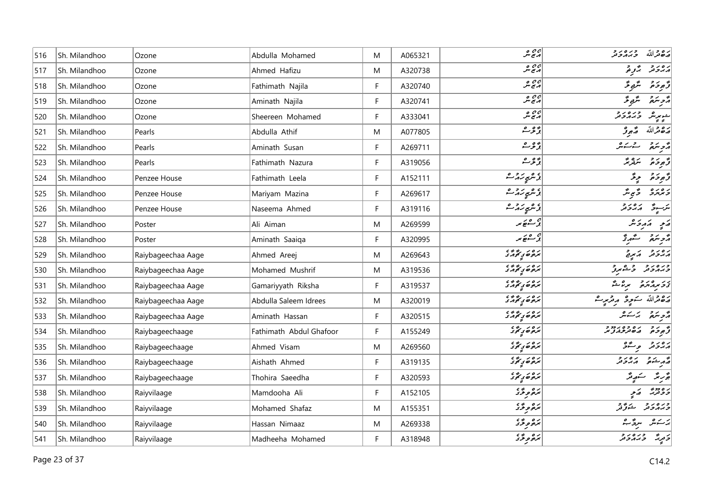| 516 | Sh. Milandhoo | Ozone              | Abdulla Mohamed         | ${\sf M}$ | A065321 | 20 ء<br> ري                                  | ەھىراللە<br>و ر ه ر د<br>تر پر تر تر                       |
|-----|---------------|--------------------|-------------------------|-----------|---------|----------------------------------------------|------------------------------------------------------------|
| 517 | Sh. Milandhoo | Ozone              | Ahmed Hafizu            | M         | A320738 | پر چ پر                                      | پرور و<br>برٌوِمُو                                         |
| 518 | Sh. Milandhoo | Ozone              | Fathimath Najila        | F         | A320740 | 20 ص<br> مع مگر                              | ىتىمى قر<br>وٌجوحهُ                                        |
| 519 | Sh. Milandhoo | Ozone              | Aminath Najila          | F         | A320741 | 20 ص<br>م                                    | أأترسم<br>ىتىر ئۇ                                          |
| 520 | Sh. Milandhoo | Ozone              | Sheereen Mohamed        | F         | A333041 | 20 ص<br>م                                    | و ر ه ر و<br>تر پر تر تر<br>اڪوبريثر<br><u>پيم</u>         |
| 521 | Sh. Milandhoo | Pearls             | Abdulla Athif           | M         | A077805 | ېژىۋىشە                                      | <mark>برە ت</mark> راللە<br>رچمو و                         |
| 522 | Sh. Milandhoo | Pearls             | Aminath Susan           | F         | A269711 | ېژىۋىشە                                      | پر به بر د<br>تەسەپىر                                      |
| 523 | Sh. Milandhoo | Pearls             | Fathimath Nazura        | F         | A319056 | ېژىۋىشە                                      | ا تقریح جو جو<br>ا<br>سرەپر                                |
| 524 | Sh. Milandhoo | Penzee House       | Fathimath Leela         | F         | A152111 | ئۇيرىم <i>بەر ج</i>                          | و مرد<br>ترجو حرم<br>حرِ تَحْر                             |
| 525 | Sh. Milandhoo | Penzee House       | Mariyam Mazina          | F         | A269617 | ئۇيرىم <i>بەر ج</i>                          | ر ه ر ه<br><del>و</del> بربرو<br>ۇ ئىم ئىگر                |
| 526 | Sh. Milandhoo | Penzee House       | Naseema Ahmed           | F         | A319116 | ى ش <sub>ىم</sub> ئەرمىشە                    | پرور و<br>ىئەسەدى<br>ئ                                     |
| 527 | Sh. Milandhoo | Poster             | Ali Aiman               | M         | A269599 | ج مش <sub>ع</sub> کھیے ہیں                   | أأيمو أأمر حاشر                                            |
| 528 | Sh. Milandhoo | Poster             | Aminath Saaiga          | F         | A320995 | ج مش <sub>ع</sub> کھیے ہیں                   | أأروسه<br>ستەرىچ                                           |
| 529 | Sh. Milandhoo | Raiybageechaa Aage | Ahmed Areej             | ${\sf M}$ | A269643 | ره ر<br>بره ه <sub>کم</sub> برگ              | رەر د<br>مەركىر مەرج                                       |
| 530 | Sh. Milandhoo | Raiybageechaa Aage | Mohamed Mushrif         | M         | A319536 | ر ە ر<br>بر <sub>ە</sub> ھ <sub>كې</sub> تەر | ورەرو وەرو                                                 |
| 531 | Sh. Milandhoo | Raiybageechaa Aage | Gamariyyath Riksha      | F         | A319537 | <br>  پره ه <sub>کم</sub> په د د             |                                                            |
| 532 | Sh. Milandhoo | Raiybageechaa Aage | Abdulla Saleem Idrees   | ${\sf M}$ | A320019 | <br>  پره ه <sub>کم</sub> په پره د           | رەدللە سەرد مەزىرى                                         |
| 533 | Sh. Milandhoo | Raiybageechaa Aage | Aminath Hassan          | F         | A320515 | پره ده په پره پر                             | مەمەسى ئەسكىلى                                             |
| 534 | Sh. Milandhoo | Raiybageechaage    | Fathimath Abdul Ghafoor | F         | A155249 | پره ده پر په په                              | ر ۵ ۶ ۵ ۶ مرد و<br>پره تر پر تر بر<br>و مر د<br>اقرام در م |
| 535 | Sh. Milandhoo | Raiybageechaage    | Ahmed Visam             | ${\sf M}$ | A269560 | ره د په په د                                 | ره رو ده و                                                 |
| 536 | Sh. Milandhoo | Raiybageechaage    | Aishath Ahmed           | F         | A319135 | <br>  پرهونه <sub>کو</sub> په کا             | بر 2 پر و<br>مربر <del>و</del> تر<br>ۇ مەشىرە<br>مەم       |
| 537 | Sh. Milandhoo | Raiybageechaage    | Thohira Saeedha         | F         | A320593 | ره در پره د                                  | ا پر مرینگر<br>ا<br>ستهرقر                                 |
| 538 | Sh. Milandhoo | Raiyvilaage        | Mamdooha Ali            | F         | A152105 | ره<br>بر <sub>گ</sub> ورځۍ                   | رەددە پەر                                                  |
| 539 | Sh. Milandhoo | Raiyvilaage        | Mohamed Shafaz          | ${\sf M}$ | A155351 | ره وي<br>مره د د د                           | و ر ه ر د<br><i>و بر</i> پر <del>ر</del><br>شتوگرفر        |
| 540 | Sh. Milandhoo | Raiyvilaage        | Hassan Nimaaz           | ${\sf M}$ | A269338 | ره<br>مر <sub>حو</sub> موگرۍ                 | سردمية<br>برسەھە                                           |
| 541 | Sh. Milandhoo | Raiyvilaage        | Madheeha Mohamed        | F         | A318948 | ره<br>بر <sub>گ</sub> ورځۍ                   | و ره ر و<br><i>و ټ</i> ه <del>و</del> تر<br>  ئە تېرىگە    |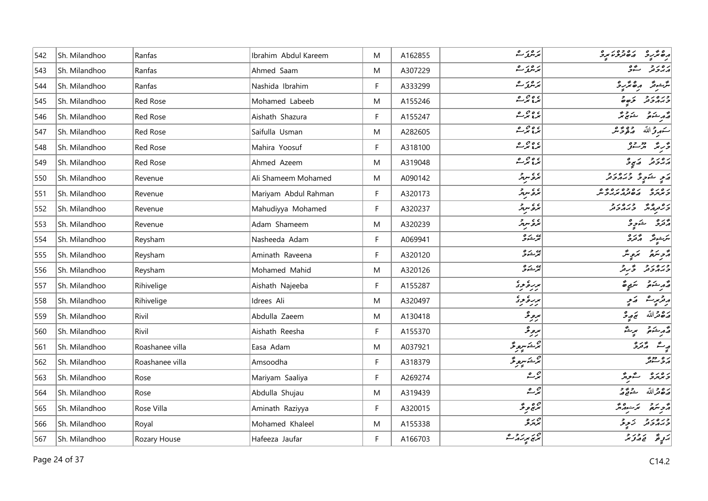| 542 | Sh. Milandhoo | Ranfas          | Ibrahim Abdul Kareem | M         | A162855 | ىر ھۇر ھ                                         | ر ه و و ه ر په و<br>در ه تر تر بر ر<br>ارە ئ <sup>ې</sup> رىر<br>ئ |
|-----|---------------|-----------------|----------------------|-----------|---------|--------------------------------------------------|--------------------------------------------------------------------|
| 543 | Sh. Milandhoo | Ranfas          | Ahmed Saam           | M         | A307229 | برەپر مە                                         | پره پر په و                                                        |
| 544 | Sh. Milandhoo | Ranfas          | Nashida Ibrahim      | F         | A333299 | ىر شرىر مىشە                                     | دە تررد<br>متَّرْسُوتَرُّ                                          |
| 545 | Sh. Milandhoo | Red Rose        | Mohamed Labeeb       | M         | A155246 | <sup>ي ه ج</sup> ې شه                            | 2012 2017                                                          |
| 546 | Sh. Milandhoo | Red Rose        | Aishath Shazura      | F         | A155247 | ، ە ەر<br>ئىر بى ئىرگ                            | شەيخ تىر<br>در<br>درگار مشکوهی                                     |
| 547 | Sh. Milandhoo | <b>Red Rose</b> | Saifulla Usman       | M         | A282605 | ، ە ەر<br>ئىر بى ئىرگ                            | سەمرىر الله<br>و و پر مر<br>مرفر <del>م</del> ر                    |
| 548 | Sh. Milandhoo | <b>Red Rose</b> | Mahira Yoosuf        | F         | A318100 | ، ە ەر<br>ئىر بى ئىرگ                            | دد حرو<br>د سر پر<br>م                                             |
| 549 | Sh. Milandhoo | Red Rose        | Ahmed Azeem          | M         | A319048 | <sup>ی ه 0</sup> مر م                            | גפגב גבב                                                           |
| 550 | Sh. Milandhoo | Revenue         | Ali Shameem Mohamed  | ${\sf M}$ | A090142 | ئەۋسىد                                           | كالمح المكوح وبره بالمحافر                                         |
| 551 | Sh. Milandhoo | Revenue         | Mariyam Abdul Rahman | F         | A320173 | بمرة سرقر                                        | ر ہ ر ہ ۔ ر د د د د د ه<br>تر پر بر د مار مدیر تر س                |
| 552 | Sh. Milandhoo | Revenue         | Mahudiyya Mohamed    | F         | A320237 | بمرة سرتر                                        | כל המי כל הרבת                                                     |
| 553 | Sh. Milandhoo | Revenue         | Adam Shameem         | M         | A320239 | ے ج<br>مرغ سرمر                                  | أردره شورو                                                         |
| 554 | Sh. Milandhoo | Reysham         | Nasheeda Adam        | F         | A069941 | يحرشوح                                           | په ره<br>درگرو<br>سكرىشى <sub>ي</sub> ەتگر<br>ئى                   |
| 555 | Sh. Milandhoo | Reysham         | Aminath Raveena      | F         | A320120 | يحرشوح                                           | ړٌ د سَرَه په سَرَهٍ سَرَ                                          |
| 556 | Sh. Milandhoo | Reysham         | Mohamed Mahid        | M         | A320126 | ى دىرە<br>موشىۋ                                  | ورەر ئەر                                                           |
| 557 | Sh. Milandhoo | Rihivelige      | Aishath Najeeba      | F         | A155287 | ىرر ء دى<br>برر غرى                              | مەرخىق سەپچ                                                        |
| 558 | Sh. Milandhoo | Rihivelige      | Idrees Ali           | ${\sf M}$ | A320497 | بررؤود                                           | ېروتر پېښه ته ته کړ                                                |
| 559 | Sh. Milandhoo | Rivil           | Abdulla Zaeem        | M         | A130418 | بروعه                                            | مَصْعَراللّه<br>ىم پەر                                             |
| 560 | Sh. Milandhoo | Rivil           | Aishath Reesha       | F         | A155370 | ىرەپ                                             | پ <sup>ې</sup> پر شتمه د<br>ىرىقە<br>ئ                             |
| 561 | Sh. Milandhoo | Roashanee villa | Easa Adam            | M         | A037921 | چ <sub>ىشقىس</sub> و ۋ                           | ريد<br>پە رە<br>مەنزۈ                                              |
| 562 | Sh. Milandhoo | Roashanee villa | Amsoodha             | F         | A318379 | ترىئە يېرىدۇ                                     | بر ٥ <u>دوم</u><br>در در سونگر                                     |
| 563 | Sh. Milandhoo | Rose            | Mariyam Saaliya      | F         | A269274 | ترعه                                             | ر ه ر ه<br>د بربرد<br>ستكوتر                                       |
| 564 | Sh. Milandhoo | Rose            | Abdulla Shujau       | ${\sf M}$ | A319439 | ترعه                                             | شتريخ ثر<br>ەھىراللە                                               |
| 565 | Sh. Milandhoo | Rose Villa      | Aminath Raziyya      | F         | A320015 | ەء<br>ئىرىنى <sub>قر</sub> ىچە                   | وحريرة بمنورو                                                      |
| 566 | Sh. Milandhoo | Royal           | Mohamed Khaleel      | ${\sf M}$ | A155338 | جربر و                                           | دبره دبر دبر دبر                                                   |
| 567 | Sh. Milandhoo | Rozary House    | Hafeeza Jaufar       | F         | A166703 | ەر بەر بەر 2<br>ئىرىج ئىي <sub>ر</sub> ىر كەشىشە | پَرُوٍ مَحْ وَ وَ مِرْ                                             |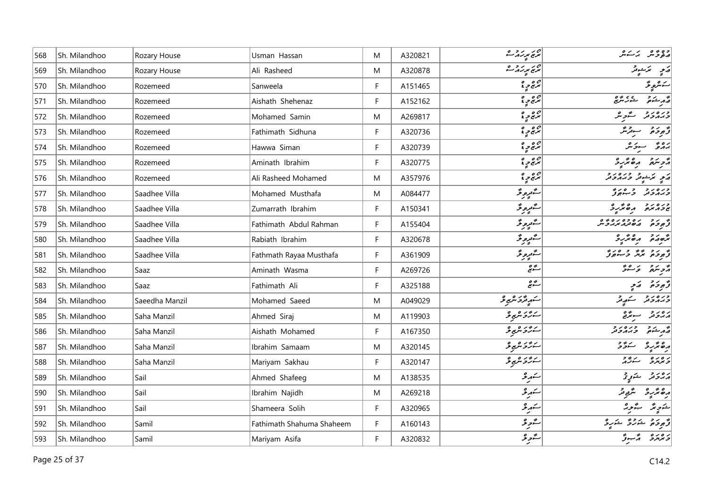| 568 | Sh. Milandhoo | Rozary House   | Usman Hassan              | M           | A320821 | ەر بەر بەر 2<br>ئىرىج ئىم <sub>ە</sub> ر بەر 2    | وەم ئەسكىر                                               |
|-----|---------------|----------------|---------------------------|-------------|---------|---------------------------------------------------|----------------------------------------------------------|
| 569 | Sh. Milandhoo | Rozary House   | Ali Rasheed               | M           | A320878 | ەر بەر بەر م<br>ئىرىئ مېرىكەر مىش                 | ړې بر <sub>ځوند</sub><br>د په پرځوند                     |
| 570 | Sh. Milandhoo | Rozemeed       | Sanweela                  | F           | A151465 | ە ە ھ<br>ئىرىم جە يا                              |                                                          |
| 571 | Sh. Milandhoo | Rozemeed       | Aishath Shehenaz          | F           | A152162 | ە ھ<br>ئىرىنى جەنج                                | و<br>پر مرشومو<br>ے بر بر مربع<br>مشر بر سر بر           |
| 572 | Sh. Milandhoo | Rozemeed       | Mohamed Samin             | M           | A269817 | ە ە ھ<br>ئىرىم جە يا                              | ورەرو گەچ                                                |
| 573 | Sh. Milandhoo | Rozemeed       | Fathimath Sidhuna         | $\mathsf F$ | A320736 | ە ە ھ<br>مرىخ ج                                   | ۇچ <sub>و</sub> چە سىرتىگە                               |
| 574 | Sh. Milandhoo | Rozemeed       | Hawwa Siman               | F           | A320739 | ە ھەم ھ<br>مەنبى ھەم                              | $rac{1}{2}$                                              |
| 575 | Sh. Milandhoo | Rozemeed       | Aminath Ibrahim           | F           | A320775 | ە ە ھ<br>مرىخ ج <sub>و</sub> لا                   | أزجتم وقترر                                              |
| 576 | Sh. Milandhoo | Rozemeed       | Ali Rasheed Mohamed       | M           | A357976 | ە ە ھ<br>مرىخ ج <sub>و</sub> لا                   | أرو المرشوفر والأماد و                                   |
| 577 | Sh. Milandhoo | Saadhee Villa  | Mohamed Musthafa          | M           | A084477 | سە <sub>تىرە</sub> ئۇ                             | وره رو وه رو<br>وبرورتر و ب                              |
| 578 | Sh. Milandhoo | Saadhee Villa  | Zumarrath Ibrahim         | F           | A150341 | سەمەر<br>ئەسرىرىتى                                | مەھمەر<br>و ر ه ر د<br>پح <del>ز</del> ۸ برج             |
| 579 | Sh. Milandhoo | Saadhee Villa  | Fathimath Abdul Rahman    | F           | A155404 | سەمەرە ئۇ                                         | ره وه ره ده.<br>په صوبر بوبر و س<br>ۇ ب <sub>و</sub> ر د |
| 580 | Sh. Milandhoo | Saadhee Villa  | Rabiath Ibrahim           | F           | A320678 | ر<br>سەرىرىدىگە                                   | بڑے پر د<br>برە ئۆرۈ                                     |
| 581 | Sh. Milandhoo | Saadhee Villa  | Fathmath Rayaa Musthafa   | F           | A361909 | گە <sub>توپ</sub> وگر                             | و د د ده د و درد                                         |
| 582 | Sh. Milandhoo | Saaz           | Aminath Wasma             | F           | A269726 | سەمج                                              | أرمز تر<br>ى ئەشق                                        |
| 583 | Sh. Milandhoo | Saaz           | Fathimath Ali             | F           | A325188 | ستوسح                                             | توجوحوا الأمج                                            |
| 584 | Sh. Milandhoo | Saeedha Manzil | Mohamed Saeed             | M           | A049029 | سەر قرىر ش <sub>ىنج</sub> بۇ                      | و ر ه ر و<br><i>و ټ</i> هرو تر<br>سەمەتىر                |
| 585 | Sh. Milandhoo | Saha Manzil    | Ahmed Siraj               | M           | A119903 | -<br>سەرىخە ش <sub>ە</sub> بۇ                     | رەرو سەرە                                                |
| 586 | Sh. Milandhoo | Saha Manzil    | Aishath Mohamed           | F           | A167350 | <i>ے بڑ</i> ئار بنا پار میں میں میں میں میں میں ک | و ره ر و<br><i>و پر</i> و تر<br>و مر شو د<br>مرم شو ه    |
| 587 | Sh. Milandhoo | Saha Manzil    | Ibrahim Samaam            | M           | A320145 | ئەر ئەر مەرىپ تۈ <sub>ر</sub>                     | ە ھەترىرى<br>برھەترىرى<br>سەۋە                           |
| 588 | Sh. Milandhoo | Saha Manzil    | Mariyam Sakhau            | $\mathsf F$ | A320147 | <i>سەنە ئە</i> ھمىي بى                            | ر ه بره<br>د بربرگ<br>سەبىر                              |
| 589 | Sh. Milandhoo | Sail           | Ahmed Shafeeg             | M           | A138535 | سەرىئە                                            | ره د د کرد د<br>مرکز د کرد                               |
| 590 | Sh. Milandhoo | Sail           | Ibrahim Najidh            | M           | A269218 | سەر بۇ                                            | سگھومگر<br>ەرھ ئ <sup>ۆ</sup> رۈ                         |
| 591 | Sh. Milandhoo | Sail           | Shameera Solih            | F           | A320965 | سەرىۋ                                             | لشوير المور                                              |
| 592 | Sh. Milandhoo | Samil          | Fathimath Shahuma Shaheem | F           | A160143 | سەر ۋ                                             | و دو دود شرور                                            |
| 593 | Sh. Milandhoo | Samil          | Mariyam Asifa             | $\mathsf F$ | A320832 | سەّر بۇ                                           | رەرە ئەبدۇ                                               |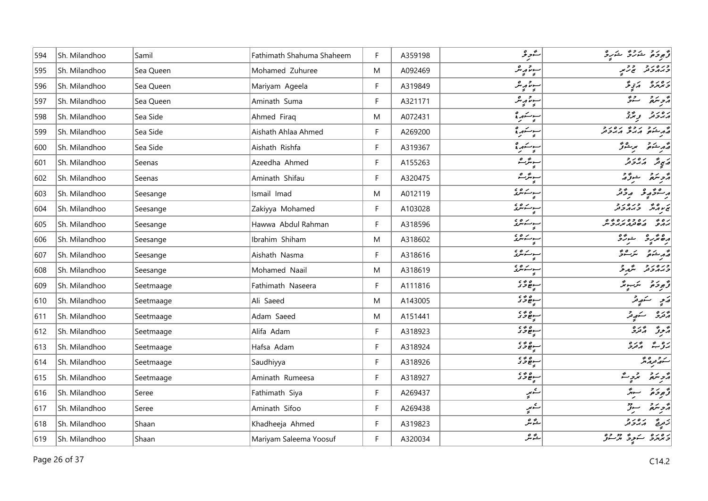| 594 | Sh. Milandhoo | Samil     | Fathimath Shahuma Shaheem | F. | A359198 | سەّرِ ئۇ              | وتجاوزة المشررة المشروع                                                                                                                                                                                                            |
|-----|---------------|-----------|---------------------------|----|---------|-----------------------|------------------------------------------------------------------------------------------------------------------------------------------------------------------------------------------------------------------------------------|
| 595 | Sh. Milandhoo | Sea Queen | Mohamed Zuhuree           | M  | A092469 | سەندىرىگر             | ورەر د دېر                                                                                                                                                                                                                         |
| 596 | Sh. Milandhoo | Sea Queen | Mariyam Ageela            | F. | A319849 | سەندىرىگە<br>ئ        | دەرە كەتبۇ                                                                                                                                                                                                                         |
| 597 | Sh. Milandhoo | Sea Queen | Aminath Suma              | F. | A321171 | سوړو پر               | أأرمز المحمد المستورثة                                                                                                                                                                                                             |
| 598 | Sh. Milandhoo | Sea Side  | Ahmed Firaq               | M  | A072431 | سەسىردى               | أرور وبرة                                                                                                                                                                                                                          |
| 599 | Sh. Milandhoo | Sea Side  | Aishath Ahlaa Ahmed       | F  | A269200 | سەسىردە               | ه درو روو رورو                                                                                                                                                                                                                     |
| 600 | Sh. Milandhoo | Sea Side  | Aishath Rishfa            | F  | A319367 | سەسە<br>ئە            | و ديده مرشورمبر<br>د ر                                                                                                                                                                                                             |
| 601 | Sh. Milandhoo | Seenas    | Azeedha Ahmed             | F  | A155263 | سەپىر<br>ئ            | ە ئېقى ئەرەرد                                                                                                                                                                                                                      |
| 602 | Sh. Milandhoo | Seenas    | Aminath Shifau            | F  | A320475 | سەپترىشە<br>ئ         | أزويتم وزور                                                                                                                                                                                                                        |
| 603 | Sh. Milandhoo | Seesange  | Ismail Imad               | M  | A012119 | اب مەنتەپىر<br>ئ      | بر عرقبوقر برقرقر                                                                                                                                                                                                                  |
| 604 | Sh. Milandhoo | Seesange  | Zakiyya Mohamed           | F  | A103028 | اب مەنىۋى<br>پە       | siois soic                                                                                                                                                                                                                         |
| 605 | Sh. Milandhoo | Seesange  | Hawwa Abdul Rahman        | F  | A318596 | اب مەنتەتلەر<br>پە    | ر ه د ه ر ه د ه<br>پره تربر برر څ س<br>ر ه و<br>برد و                                                                                                                                                                              |
| 606 | Sh. Milandhoo | Seesange  | Ibrahim Shiham            | M  | A318602 | اب سەتىدى<br>ئ        | رەنزىر ئىرگە<br>رەنزىر ئىرگە                                                                                                                                                                                                       |
| 607 | Sh. Milandhoo | Seesange  | Aishath Nasma             | F  | A318616 | اب مەنتەتلەر<br>ئ     | ومشاه براه و                                                                                                                                                                                                                       |
| 608 | Sh. Milandhoo | Seesange  | Mohamed Naail             | M  | A318619 | سەسىرە                | ورەرو شەتر                                                                                                                                                                                                                         |
| 609 | Sh. Milandhoo | Seetmaage | Fathimath Naseera         | F. | A111816 | ر ه و و د             | ۇ بەر ئىرىپىدىگە<br>كۆمۈم ئىرىپىدىگە                                                                                                                                                                                               |
| 610 | Sh. Milandhoo | Seetmaage | Ali Saeed                 | M  | A143005 | ر ه و د د             | يد ستهديد<br>ديد ستهديد<br>ديده ستهديد                                                                                                                                                                                             |
| 611 | Sh. Milandhoo | Seetmaage | Adam Saeed                | M  | A151441 | ر ه و و د<br>پره څو د | سە پەتىر                                                                                                                                                                                                                           |
| 612 | Sh. Milandhoo | Seetmaage | Alifa Adam                | F  | A318923 | ر ه و و د             | أزوقر<br>ەردە                                                                                                                                                                                                                      |
| 613 | Sh. Milandhoo | Seetmaage | Hafsa Adam                | F  | A318924 | ر ه و و د<br>په هو د  | بروية<br>پە رە<br>مەنىرى                                                                                                                                                                                                           |
| 614 | Sh. Milandhoo | Seetmaage | Saudhiyya                 | F  | A318926 | ره و د ،<br>په هو د   | ر د و ه ده<br>سنه مرد تر                                                                                                                                                                                                           |
| 615 | Sh. Milandhoo | Seetmaage | Aminath Rumeesa           | F  | A318927 | رە ئەي<br>ئە          |                                                                                                                                                                                                                                    |
| 616 | Sh. Milandhoo | Seree     | Fathimath Siya            | F  | A269437 | سكومي                 | $\frac{2}{3}$<br>$\frac{2}{3}$<br>$\frac{2}{3}$                                                                                                                                                                                    |
| 617 | Sh. Milandhoo | Seree     | Aminath Sifoo             | F  | A269438 | اسكوبير               | ړۍ شهر دره د کليک د د کليک د لري.<br>د کليږ شهر د کليک د کليک د کليک د کليک د کليک د کليک د کليک د کليک د کليک د کليک د کليک د کليک د کليک د کليک د<br>خراچي کليک د کليک د کليک د کليک د کليک د کليک د کليک د کليک د کليک د کليک د |
| 618 | Sh. Milandhoo | Shaan     | Khadheeja Ahmed           | F  | A319823 | ىدە ئىر<br>م          |                                                                                                                                                                                                                                    |
| 619 | Sh. Milandhoo | Shaan     | Mariyam Saleema Yoosuf    | F. | A320034 | شەھر                  | رەرە ب ھەدە                                                                                                                                                                                                                        |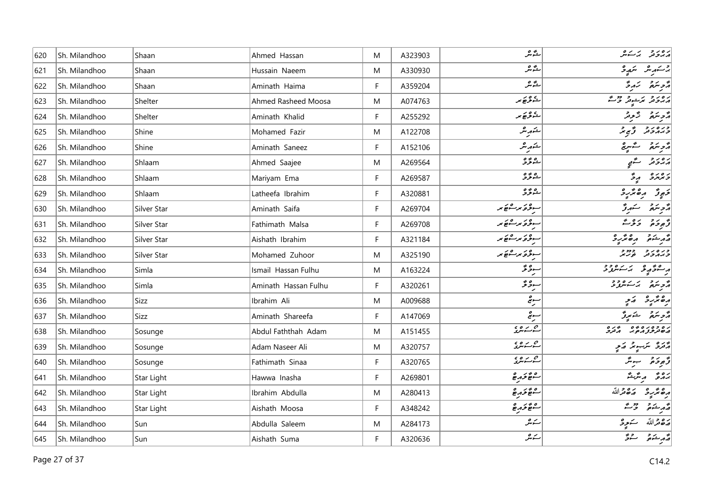| 620 | Sh. Milandhoo | Shaan             | Ahmed Hassan               | M           | A323903 | ىشەھر                          | رەرد پرىكە                                                             |
|-----|---------------|-------------------|----------------------------|-------------|---------|--------------------------------|------------------------------------------------------------------------|
| 621 | Sh. Milandhoo | Shaan             | Hussain Naeem              | M           | A330930 | ىشەشر                          | برستهرش التمديح                                                        |
| 622 | Sh. Milandhoo | Shaan             | Aminath Haima              | F           | A359204 | ىشەشر                          | أأروسكم أأراد                                                          |
| 623 | Sh. Milandhoo | Shelter           | <b>Ahmed Rasheed Moosa</b> | M           | A074763 | ستوثونغ مر                     | ره رو برجوتر ورمح<br>مهروتر برجوتر وسک                                 |
| 624 | Sh. Milandhoo | Shelter           | Aminath Khalid             | F.          | A255292 | ے ور                           | ومحر سكوا والمحمد والمحر والمراجح                                      |
| 625 | Sh. Milandhoo | Shine             | Mohamed Fazir              | M           | A122708 | ىشەرىتر                        | ورەرو ئېتى                                                             |
| 626 | Sh. Milandhoo | Shine             | Aminath Saneez             | F           | A152106 | ڪورير                          |                                                                        |
| 627 | Sh. Milandhoo | Shlaam            | Ahmed Saajee               | M           | A269564 | شروح                           | بزرد تر<br>ستحيى                                                       |
| 628 | Sh. Milandhoo | Shlaam            | Mariyam Ema                | F.          | A269587 | شروژ                           | ر ه ر ه<br><del>و</del> بربرو<br>برٿ                                   |
| 629 | Sh. Milandhoo | Shlaam            | Latheefa Ibrahim           | F.          | A320881 | شروح                           | برە ئۆر ۋ<br>کوچ <sub>و</sub> تر<br>انزی <sub>چ</sub> وتر              |
| 630 | Sh. Milandhoo | Silver Star       | Aminath Saifa              | F.          | A269704 | رە ئەر ئەر ئەنغا ئىر           | أرمز يتزه<br>ستهرقر                                                    |
| 631 | Sh. Milandhoo | Silver Star       | Fathimath Malsa            | $\mathsf F$ | A269708 | سوڅو تر شوې ته .<br>مر         | ۋە ئەڭ ئەبۇر                                                           |
| 632 | Sh. Milandhoo | Silver Star       | Aishath Ibrahim            | F.          | A321184 | سوۋېرسونېمه                    | ەھ ترىرى<br>و مر شو د<br>مرم شو د                                      |
| 633 | Sh. Milandhoo | Silver Star       | Mohamed Zuhoor             | M           | A325190 | -دىرى بررەي <sub>م</sub>       | و وو و<br>خو <sup>مر</sup> بمر<br>و ر ه ر د<br>و پر پر <del>و</del> تر |
| 634 | Sh. Milandhoo | Simla             | Ismail Hassan Fulhu        | M           | A163224 | يبوعه                          | ر جۇمپۇ بەسىر                                                          |
| 635 | Sh. Milandhoo | Simla             | Aminath Hassan Fulhu       | F.          | A320261 | بىردى                          | أورسم بمستور                                                           |
| 636 | Sh. Milandhoo | Sizz              | Ibrahim Ali                | M           | A009688 | $\stackrel{o}{\sim}$           |                                                                        |
| 637 | Sh. Milandhoo | Sizz              | Aminath Shareefa           | F           | A147069 | $\overset{\circ}{\mathscr{E}}$ | رەندىيە ئەر<br>رەندىيە ئەر                                             |
| 638 | Sh. Milandhoo | Sosunge           | Abdul Faththah Adam        | M           | A151455 | ترىيە                          | ره وه ره ده د دره<br>پرصر وزوره بر مرکز                                |
| 639 | Sh. Milandhoo | Sosunge           | Adam Naseer Ali            | M           | A320757 | <u>مى ئەيتى ي</u>              | أدهروا الكرباليو الأرامي                                               |
| 640 | Sh. Milandhoo | Sosunge           | Fathimath Sinaa            | $\mathsf F$ | A320765 | <u>مى ئەيتى ي</u>              | ۇيودۇ بېرىگە                                                           |
| 641 | Sh. Milandhoo | <b>Star Light</b> | Hawwa Inasha               | F           | A269801 | مشتقحه                         | رەپە مەر                                                               |
| 642 | Sh. Milandhoo | <b>Star Light</b> | Ibrahim Abdulla            | M           | A280413 |                                | مِ صَحَّدٍ حَقَّدَاللَّهُ                                              |
| 643 | Sh. Milandhoo | Star Light        | Aishath Moosa              | F.          | A348242 | <u> موغ تر ہو</u>              | $\frac{27}{5}$<br>$\frac{2}{5}$<br>$\frac{2}{5}$                       |
| 644 | Sh. Milandhoo | Sun               | Abdulla Saleem             | M           | A284173 | سەپىر                          | برة قرالله<br>سنوود                                                    |
| 645 | Sh. Milandhoo | Sun               | Aishath Suma               | F.          | A320636 | سەمىر                          | $rac{2}{2}$<br>$rac{2}{3}$<br>$rac{2}{3}$                              |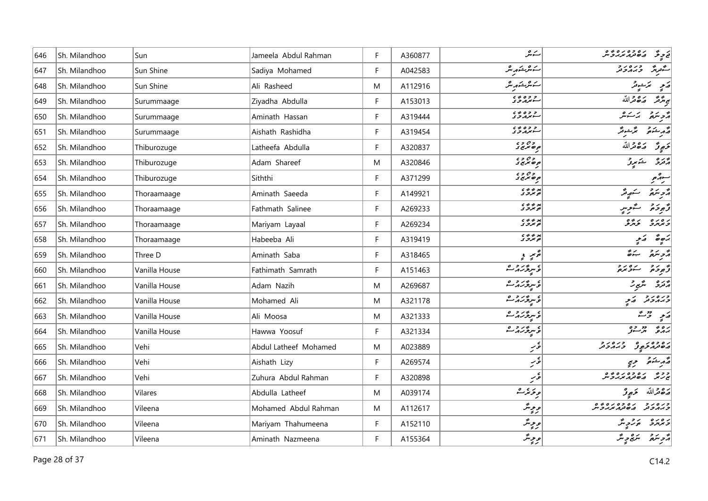| 646 | Sh. Milandhoo | Sun           | Jameela Abdul Rahman  | F         | A360877 | سەمىر                                           | ره وه ره ده ه<br>پره تربر تربر تر س<br>تح ترٍ تَحْر                         |
|-----|---------------|---------------|-----------------------|-----------|---------|-------------------------------------------------|-----------------------------------------------------------------------------|
| 647 | Sh. Milandhoo | Sun Shine     | Sadiya Mohamed        | F         | A042583 | ئەنىرىش <sub>ى</sub> ر بىر                      | و ره ر و<br><i>د ب</i> رگرفر<br>سەّدىردگر                                   |
| 648 | Sh. Milandhoo | Sun Shine     | Ali Rasheed           | M         | A112916 | سەن <sub>ى</sub> رىشە <sub>مە</sub> رىگە        | أركمني المتمرسفية وترا                                                      |
| 649 | Sh. Milandhoo | Surummaage    | Ziyadha Abdulla       | F         | A153013 | ر و ه ه ه »<br>سه پورتر <sub>ک</sub>            | بيرتزقر كالهي الله                                                          |
| 650 | Sh. Milandhoo | Surummaage    | Aminath Hassan        | F         | A319444 | ر و ه ه ه »<br>سه پورتر <sub>ک</sub>            | ۇ بە بەر<br>م<br>برسەمىر                                                    |
| 651 | Sh. Milandhoo | Surummaage    | Aishath Rashidha      | F         | A319454 | و وه و و و<br>سه مرد و د                        | مەر ئەڭ ئۇ ئوقە                                                             |
| 652 | Sh. Milandhoo | Thiburozuge   | Latheefa Abdulla      | F         | A320837 | و ۵ و ۷<br>مو <b>ن</b> ترېخ ک                   | ځږېژگ<br>ەھەراللە                                                           |
| 653 | Sh. Milandhoo | Thiburozuge   | Adam Shareef          | ${\sf M}$ | A320846 |                                                 | پر رہ<br>پر تر ژ<br>شەمرىر                                                  |
| 654 | Sh. Milandhoo | Thiburozuge   | Siththi               | F         | A371299 |                                                 | سودې                                                                        |
| 655 | Sh. Milandhoo | Thoraamaage   | Aminath Saeeda        | F         | A149921 | پر پر پر پر<br>حو پور پر                        | أأدحر يترة<br>سەرپەتر                                                       |
| 656 | Sh. Milandhoo | Thoraamaage   | Fathmath Salinee      | F         | A269233 | پر پر پر پر<br>حو مرد ک                         | ۇ بوچ <sub>ە</sub><br>ڪوبير<br>مشو                                          |
| 657 | Sh. Milandhoo | Thoraamaage   | Mariyam Layaal        | F         | A269234 | پر پر پر پر<br>حو مگرمر <sub>ک</sub>            | ر ه ر ه<br><del>و</del> بربرو<br>ر پر ہ                                     |
| 658 | Sh. Milandhoo | Thoraamaage   | Habeeba Ali           | F         | A319419 | پر پر پر پر<br>حو <del>م</del> رتر <sub>ک</sub> | پر ہے تھ<br>ەتىر                                                            |
| 659 | Sh. Milandhoo | Three D       | Aminath Saba          | F         | A318465 | قومر ۽<br>پ                                     | $\stackrel{\ast}{\circ}\stackrel{\scriptscriptstyle\prime}{\cdot}$<br>أرمره |
| 660 | Sh. Milandhoo | Vanilla House | Fathimath Samrath     | F         | A151463 | اءِ پير <i>وُن</i> ۾ گ                          | ر ه د د<br>سوتو بوه<br>ۇ بوخ م                                              |
| 661 | Sh. Milandhoo | Vanilla House | Adam Nazih            | M         | A269687 | <sub>ى سر</sub> ىزىر 2<br>مەسرى <i>گەن</i> ىش   | پە رە<br>مەنىرى<br>ىترىجە 2                                                 |
| 662 | Sh. Milandhoo | Vanilla House | Mohamed Ali           | ${\sf M}$ | A321178 | <i>، پېرىژگەر م</i>                             | و ره ر د<br><i>د بر</i> پر تر<br>ەكىر                                       |
| 663 | Sh. Milandhoo | Vanilla House | Ali Moosa             | M         | A321333 | ء <sub>ُ سر</sub> ِعۡرَہُ ۡتَ                   | پر په دوسته                                                                 |
| 664 | Sh. Milandhoo | Vanilla House | Hawwa Yoosuf          | F         | A321334 | ء <i>َ <sub>سرچُر</sub> پر د</i>                | رە پە<br>برادى<br>دد ره وه                                                  |
| 665 | Sh. Milandhoo | Vehi          | Abdul Latheef Mohamed | M         | A023889 | ه<br>حرب                                        | و ره ر د<br><i>د ټ</i> رونر<br>ره وه ر<br>په څرمرخ پول                      |
| 666 | Sh. Milandhoo | Vehi          | Aishath Lizy          | F         | A269574 | ءبر                                             | ومرشوق لحبي                                                                 |
| 667 | Sh. Milandhoo | Vehi          | Zuhura Abdul Rahman   | F         | A320898 | $\frac{1}{2}$                                   | ככל קסכסקסים<br>מקוד השנ <i>וה מ</i> הכית                                   |
| 668 | Sh. Milandhoo | Vilares       | Abdulla Latheef       | ${\sf M}$ | A039174 | ە ئەبۇر شە                                      | أصفحترالله تخبوقر                                                           |
| 669 | Sh. Milandhoo | Vileena       | Mohamed Abdul Rahman  | ${\sf M}$ | A112617 | اعب میٹر<br>سنے                                 | ره وه ره د ه<br>پره تربر تر تر تر<br>و ر ه ر د<br>تر بر بر تر               |
| 670 | Sh. Milandhoo | Vileena       | Mariyam Thahumeena    | F         | A152110 | و ویژ                                           | ر ه بر ه<br><del>د</del> بربر و<br>ىر 2 يېڭە<br>ئ                           |
| 671 | Sh. Milandhoo | Vileena       | Aminath Nazmeena      | F         | A155364 | <sub>حو</sub> موسگر                             | مەد ئىكى ئىس ئەس                                                            |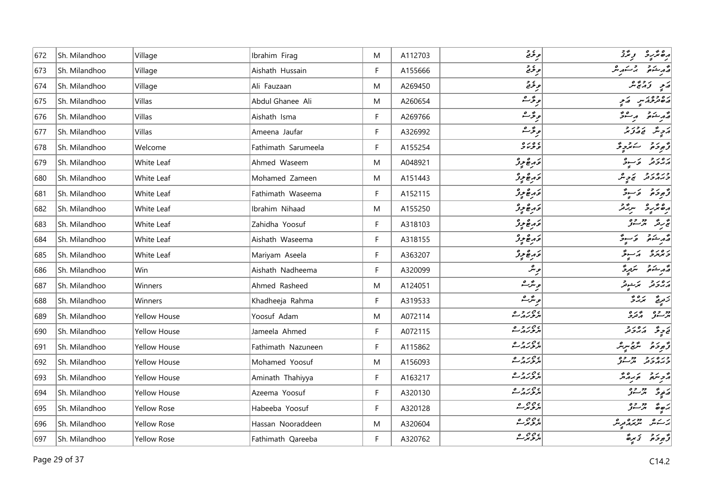| 672 | Sh. Milandhoo | Village             | Ibrahim Firag       | M         | A112703 | ء و<br>حرفري                         | دەمرىر دىرى<br>دەمرىر دىرى<br>مەشھى ئىس                                                                                 |
|-----|---------------|---------------------|---------------------|-----------|---------|--------------------------------------|-------------------------------------------------------------------------------------------------------------------------|
| 673 | Sh. Milandhoo | Village             | Aishath Hussain     | F         | A155666 | حرقريح                               |                                                                                                                         |
| 674 | Sh. Milandhoo | Village             | Ali Fauzaan         | M         | A269450 | ء و بن ح<br>م                        | أركمني وكرمي مثر                                                                                                        |
| 675 | Sh. Milandhoo | Villas              | Abdul Ghanee Ali    | M         | A260654 | عرقر شه                              | גם כפג הב                                                                                                               |
| 676 | Sh. Milandhoo | Villas              | Aishath Isma        | F         | A269766 | عرقر مشه                             |                                                                                                                         |
| 677 | Sh. Milandhoo | Villas              | Ameena Jaufar       | F         | A326992 | عرقر شه                              | ړې پرور د                                                                                                               |
| 678 | Sh. Milandhoo | Welcome             | Fathimath Sarumeela | F         | A155254 | ه وره<br>ونژناژ                      | ۇ بۇرە سەئدە ئە                                                                                                         |
| 679 | Sh. Milandhoo | White Leaf          | Ahmed Waseem        | ${\sf M}$ | A048921 | ورء يور                              | رەرو رىيو                                                                                                               |
| 680 | Sh. Milandhoo | White Leaf          | Mohamed Zameen      | ${\sf M}$ | A151443 | ئەرغ ب <sub>و</sub> ر                | وبروبرو بمجيش                                                                                                           |
| 681 | Sh. Milandhoo | White Leaf          | Fathimath Waseema   | F         | A152115 | دَرِءِ بِرِرْ                        | أوالمجافرة والمستوقر                                                                                                    |
| 682 | Sh. Milandhoo | White Leaf          | Ibrahim Nihaad      | M         | A155250 | ر<br>عەرھ يور                        | ەرھەترىرى<br>ر<br>سرر محمد                                                                                              |
| 683 | Sh. Milandhoo | White Leaf          | Zahidha Yoosuf      | F         | A318103 | وَرِهِ بِروْ                         | ېچ په پېښه ده ده ده<br>پ                                                                                                |
| 684 | Sh. Milandhoo | White Leaf          | Aishath Waseema     | F         | A318155 | دَرِهِ بِهِ دِ                       | أقهر يشكاها المحاسبوق                                                                                                   |
| 685 | Sh. Milandhoo | White Leaf          | Mariyam Aseela      | F         | A363207 | دَرءٌ بِرژ                           | رەرە بەسىۋ                                                                                                              |
| 686 | Sh. Milandhoo | Win                 | Aishath Nadheema    | F         | A320099 | امویٹر                               | أقهر مشكرة كالمتمريح                                                                                                    |
| 687 | Sh. Milandhoo | Winners             | Ahmed Rasheed       | ${\sf M}$ | A124051 | ە بەتزىشە                            | أرور و مردور                                                                                                            |
| 688 | Sh. Milandhoo | Winners             | Khadheeja Rahma     | F         | A319533 | ءِ مٿڙ ٿ                             | ر ه و<br>بربرگ<br>  ترموقح                                                                                              |
| 689 | Sh. Milandhoo | <b>Yellow House</b> | Yoosuf Adam         | M         | A072114 | <i>، می بر ج</i><br>مرمو <i>ت</i> که | دو بره<br>در سور<br>پھوڑ<br>مرکزو                                                                                       |
| 690 | Sh. Milandhoo | <b>Yellow House</b> | Jameela Ahmed       | F         | A072115 | ې <i>دې د</i> ه<br>مرمو <i>ز</i> ډ ک | يَا حِي حَقَّ مَ مَدَّ حَرْ مَرْ                                                                                        |
| 691 | Sh. Milandhoo | <b>Yellow House</b> | Fathimath Nazuneen  | F         | A115862 | ، <i>? ر ج</i><br>مرمو ر پر          | ىگەنج سرىگر<br>ۇ بورى<br>تۇبورى                                                                                         |
| 692 | Sh. Milandhoo | <b>Yellow House</b> | Mohamed Yoosuf      | M         | A156093 | ، <i>ہی ر</i> ج ہے<br>مرحر پر پ      | כנסגב בכפ<br><i>בג</i> תכת ת—נצ                                                                                         |
| 693 | Sh. Milandhoo | <b>Yellow House</b> | Aminath Thahiyya    | F         | A163217 | ، <i>? ر ج</i><br>پر بور پر پ        | ومحر يتكفى ومجرود                                                                                                       |
| 694 | Sh. Milandhoo | <b>Yellow House</b> | Azeema Yoosuf       | F         | A320130 | <i>، ہی ر</i> ج ہے<br>مرمز پر پ      | ر<br>مەنبى<br>دد حيو                                                                                                    |
| 695 | Sh. Milandhoo | <b>Yellow Rose</b>  | Habeeba Yoosuf      | F         | A320128 | ، <i>م</i> وجر ہے<br>مرموسر ب        | $\begin{array}{c} \mathcal{L}_{\mathcal{P}}^{\mathcal{P}} \mathcal{L}_{\mathcal{P}}^{\mathcal{P}} \end{array}$<br>ېزىيە |
| 696 | Sh. Milandhoo | <b>Yellow Rose</b>  | Hassan Nooraddeen   | M         | A320604 | پره ص                                | برسەپىر<br>در ده در شر<br>سرچرم <sub>ور</sub> شر                                                                        |
| 697 | Sh. Milandhoo | <b>Yellow Rose</b>  | Fathimath Qareeba   | F         | A320762 | ، <i>ہ</i> ج م                       | وُجِرَدُ تَرَسِّعُ                                                                                                      |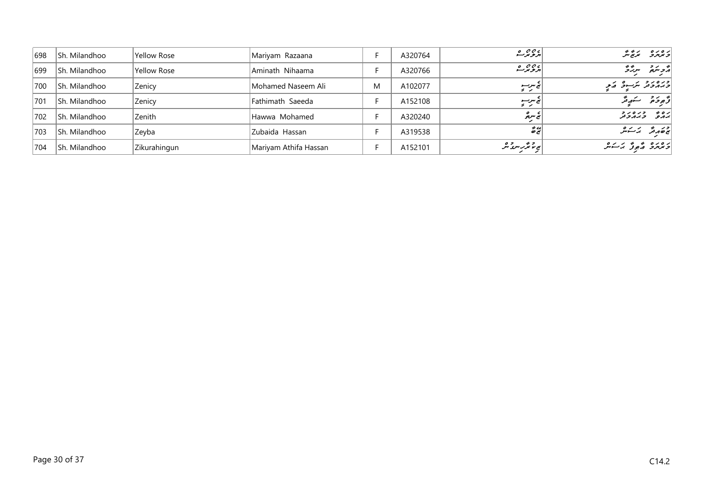| 698 | <b>Sh. Milandhoo</b> | Yellow Rose  | Mariyam Razaana       |   | A320764 | پره چې ه             | ىر ئىچ ئىگر<br>  ئە ئەرج                |
|-----|----------------------|--------------|-----------------------|---|---------|----------------------|-----------------------------------------|
| 699 | l Sh. Milandhoo      | Yellow Rose  | Aminath Nihaama       |   | A320766 | لىردىر مە            | سرترژ<br>ړ د سرچ                        |
| 700 | l Sh. Milandhoo      | Zenicy       | Mohamed Naseem Ali    | M | A102077 | تج سریب<br>خ         | ورەر د سرسوڭ كەن                        |
| 701 | ISh. Milandhoo       | Zenicy       | Fathimath Saeeda      |   | A152108 | تج سرب ــو           | ا تۇ بو ئەھ<br>ستهرتر                   |
| 702 | <b>Sh. Milandhoo</b> | Zenith       | Hawwa Mohamed         |   | A320240 | سے سرچ               | پر ه پچ<br>و ره ر د<br>تر <i>پر</i> وتر |
| 703 | <b>Sh. Milandhoo</b> | Zeyba        | Zubaida Hassan        |   | A319538 | مئة هئة<br>  مئة هئة | ج ئەمەتىر<br>برسەمىر                    |
| 704 | <b>Sh. Milandhoo</b> | Zikurahingun | Mariyam Athifa Hassan |   | A152101 | بر تړ تر سرچ مګر     |                                         |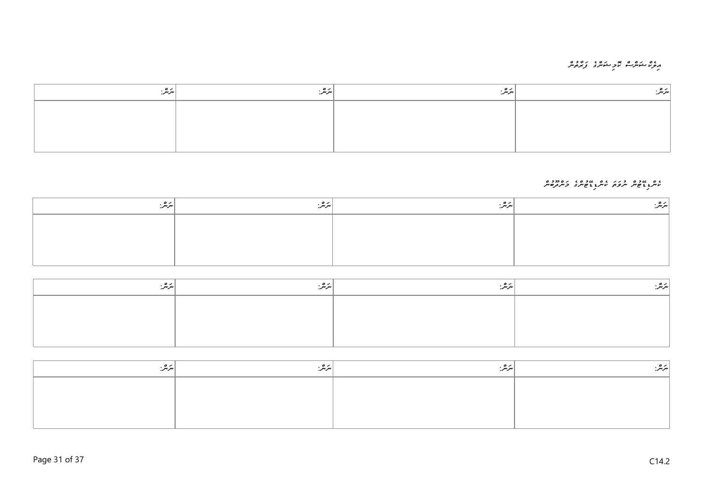## *w7qAn8m? sCw7mRo>u; wEw7mRw;sBo<*

| ' مرمر | 'يئرىثر: |
|--------|----------|
|        |          |
|        |          |
|        |          |

## *w7q9r@w7m> sCw7qHtFoFw7s; mAm=q7 w7qHtFoFw7s;*

| ىر تە | $\mathcal{O} \times$<br>$\sim$ | $\sim$<br>. . | لترنثر |
|-------|--------------------------------|---------------|--------|
|       |                                |               |        |
|       |                                |               |        |
|       |                                |               |        |

| $\frac{2}{n}$ | $\overline{\phantom{a}}$ | اير هنه. | $\mathcal{O} \times$<br>سرسر |
|---------------|--------------------------|----------|------------------------------|
|               |                          |          |                              |
|               |                          |          |                              |
|               |                          |          |                              |

| ىرتىر: | 。<br>سر سر | .,<br>مرسر |
|--------|------------|------------|
|        |            |            |
|        |            |            |
|        |            |            |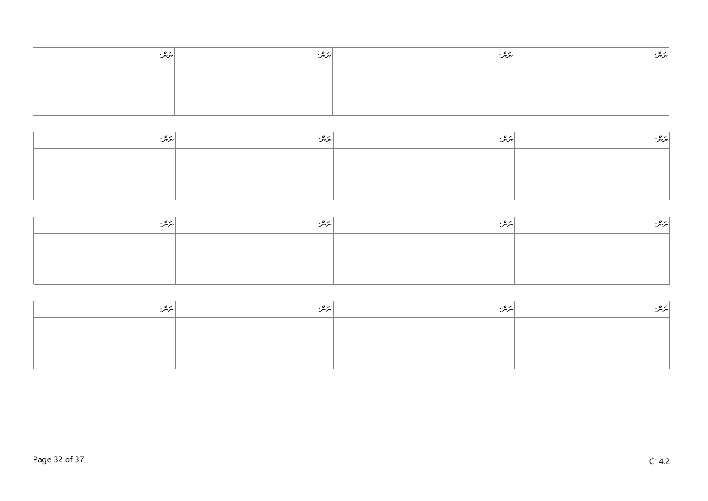| يره. | ο. | ا ير ه |  |
|------|----|--------|--|
|      |    |        |  |
|      |    |        |  |
|      |    |        |  |

| <sup>.</sup> سرسر. |  |
|--------------------|--|
|                    |  |
|                    |  |
|                    |  |

| ىر تە | $\sim$ | ا بر هر: | $^{\circ}$<br>' سرسر. |
|-------|--------|----------|-----------------------|
|       |        |          |                       |
|       |        |          |                       |
|       |        |          |                       |

| يترمثر | $^{\circ}$ | ىر پىر |
|--------|------------|--------|
|        |            |        |
|        |            |        |
|        |            |        |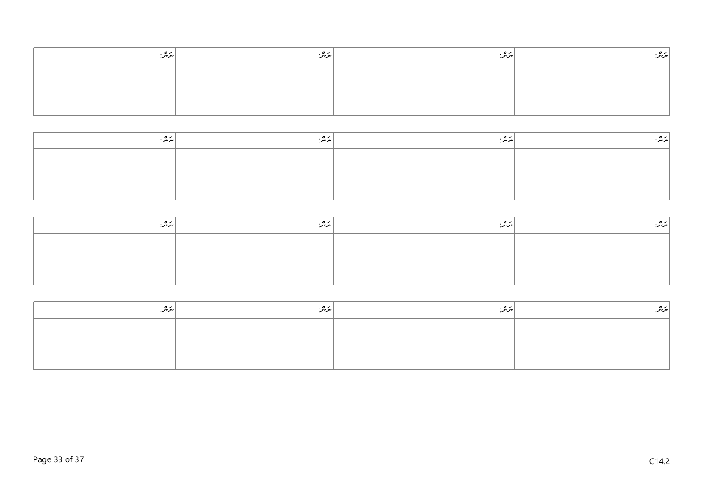| ير هو . | $\overline{\phantom{a}}$ | يرمر | اير هنه. |
|---------|--------------------------|------|----------|
|         |                          |      |          |
|         |                          |      |          |
|         |                          |      |          |

| ىبرىر. | $\sim$<br>ا سرسر . | يئرمثر | o . |
|--------|--------------------|--------|-----|
|        |                    |        |     |
|        |                    |        |     |
|        |                    |        |     |

| نتزيتر به | 。 | 。<br>سرسر. | o <i>~</i> |
|-----------|---|------------|------------|
|           |   |            |            |
|           |   |            |            |
|           |   |            |            |

|  | . ه |
|--|-----|
|  |     |
|  |     |
|  |     |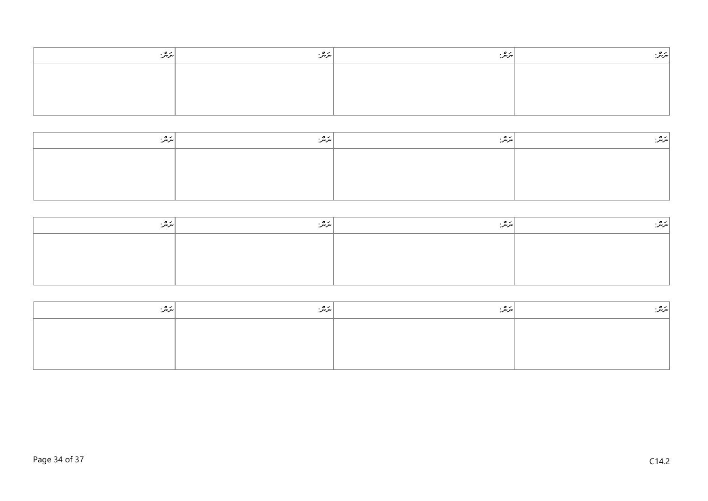| ير هو . | $\overline{\phantom{a}}$ | يرمر | اير هنه. |
|---------|--------------------------|------|----------|
|         |                          |      |          |
|         |                          |      |          |
|         |                          |      |          |

| ىبرىر. | $\sim$<br>ا سرسر . | يئرمثر | o . |
|--------|--------------------|--------|-----|
|        |                    |        |     |
|        |                    |        |     |
|        |                    |        |     |

| نتزيتر به | 。 | 。<br>سرسر. | o <i>~</i> |
|-----------|---|------------|------------|
|           |   |            |            |
|           |   |            |            |
|           |   |            |            |

|  | . ه |
|--|-----|
|  |     |
|  |     |
|  |     |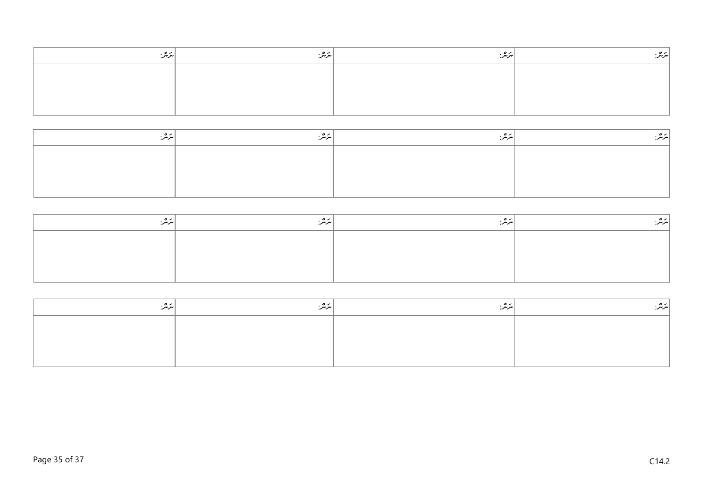| $\cdot$ | ο. | $\frac{\circ}{\cdot}$ | $\sim$<br>سرسر |
|---------|----|-----------------------|----------------|
|         |    |                       |                |
|         |    |                       |                |
|         |    |                       |                |

| ايرعر: | ر ه<br>. . |  |
|--------|------------|--|
|        |            |  |
|        |            |  |
|        |            |  |

| بر ه | 。 | $\sim$<br>َ سومس. |  |
|------|---|-------------------|--|
|      |   |                   |  |
|      |   |                   |  |
|      |   |                   |  |

| 。<br>. س | ىرىىر |  |
|----------|-------|--|
|          |       |  |
|          |       |  |
|          |       |  |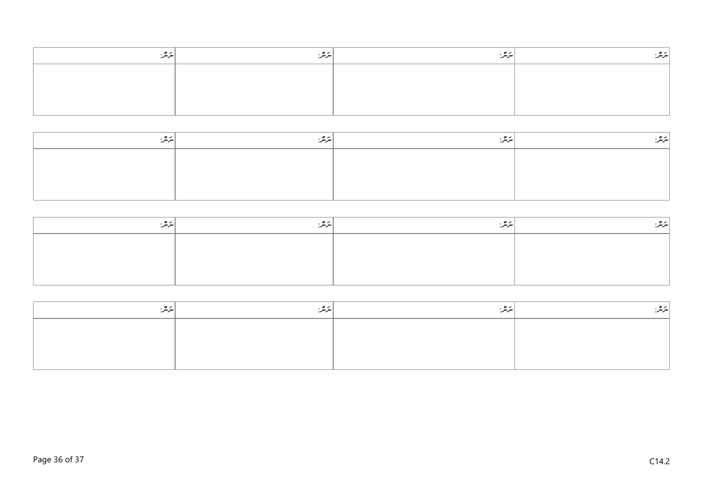| ير هو . | $\overline{\phantom{a}}$ | يرمر | لتزمثن |
|---------|--------------------------|------|--------|
|         |                          |      |        |
|         |                          |      |        |
|         |                          |      |        |

| ىبرىر. | $\sim$<br>ا سرسر . | يئرمثر | o . |
|--------|--------------------|--------|-----|
|        |                    |        |     |
|        |                    |        |     |
|        |                    |        |     |

| انترنثر: | ر ه |  |
|----------|-----|--|
|          |     |  |
|          |     |  |
|          |     |  |

|  | . ه |
|--|-----|
|  |     |
|  |     |
|  |     |